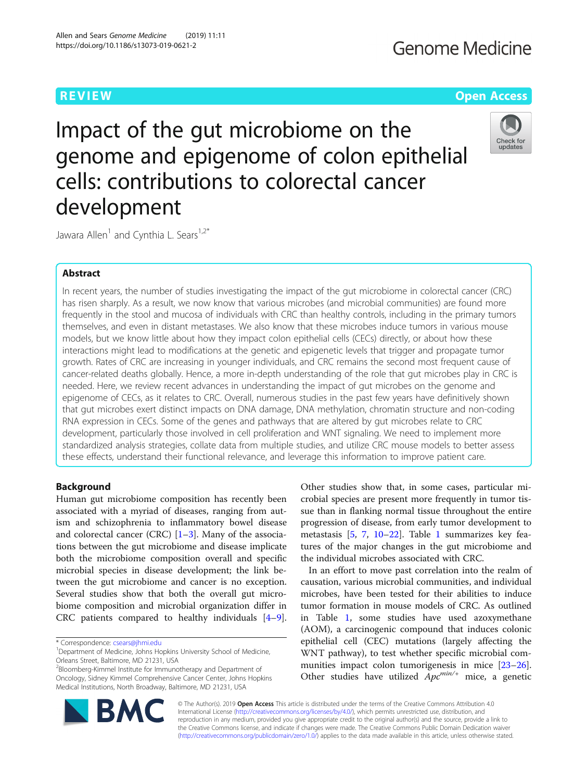## **Genome Medicine**

### **REVIEW CONTROL** CONTROL CONTROL CONTROL CONTROL CONTROL CONTROL CONTROL CONTROL CONTROL CONTROL CONTROL CONTROL CONTROL CONTROL CONTROL CONTROL CONTROL CONTROL CONTROL CONTROL CONTROL CONTROL CONTROL CONTROL CONTROL CONTR

# Impact of the gut microbiome on the genome and epigenome of colon epithelial cells: contributions to colorectal cancer development



Jawara Allen<sup>1</sup> and Cynthia L. Sears<sup>1,2\*</sup>

#### Abstract

In recent years, the number of studies investigating the impact of the gut microbiome in colorectal cancer (CRC) has risen sharply. As a result, we now know that various microbes (and microbial communities) are found more frequently in the stool and mucosa of individuals with CRC than healthy controls, including in the primary tumors themselves, and even in distant metastases. We also know that these microbes induce tumors in various mouse models, but we know little about how they impact colon epithelial cells (CECs) directly, or about how these interactions might lead to modifications at the genetic and epigenetic levels that trigger and propagate tumor growth. Rates of CRC are increasing in younger individuals, and CRC remains the second most frequent cause of cancer-related deaths globally. Hence, a more in-depth understanding of the role that gut microbes play in CRC is needed. Here, we review recent advances in understanding the impact of gut microbes on the genome and epigenome of CECs, as it relates to CRC. Overall, numerous studies in the past few years have definitively shown that gut microbes exert distinct impacts on DNA damage, DNA methylation, chromatin structure and non-coding RNA expression in CECs. Some of the genes and pathways that are altered by gut microbes relate to CRC development, particularly those involved in cell proliferation and WNT signaling. We need to implement more standardized analysis strategies, collate data from multiple studies, and utilize CRC mouse models to better assess these effects, understand their functional relevance, and leverage this information to improve patient care.

#### Background

Human gut microbiome composition has recently been associated with a myriad of diseases, ranging from autism and schizophrenia to inflammatory bowel disease and colorectal cancer (CRC)  $[1-3]$  $[1-3]$  $[1-3]$ . Many of the associations between the gut microbiome and disease implicate both the microbiome composition overall and specific microbial species in disease development; the link between the gut microbiome and cancer is no exception. Several studies show that both the overall gut microbiome composition and microbial organization differ in CRC patients compared to healthy individuals [\[4](#page-14-0)–[9](#page-15-0)].

<sup>2</sup>Bloomberg-Kimmel Institute for Immunotherapy and Department of Oncology, Sidney Kimmel Comprehensive Cancer Center, Johns Hopkins Medical Institutions, North Broadway, Baltimore, MD 21231, USA

Other studies show that, in some cases, particular microbial species are present more frequently in tumor tissue than in flanking normal tissue throughout the entire progression of disease, from early tumor development to metastasis [[5,](#page-14-0) [7,](#page-15-0) [10](#page-15-0)–[22](#page-15-0)]. Table [1](#page-1-0) summarizes key features of the major changes in the gut microbiome and the individual microbes associated with CRC.

In an effort to move past correlation into the realm of causation, various microbial communities, and individual microbes, have been tested for their abilities to induce tumor formation in mouse models of CRC. As outlined in Table [1](#page-1-0), some studies have used azoxymethane (AOM), a carcinogenic compound that induces colonic epithelial cell (CEC) mutations (largely affecting the WNT pathway), to test whether specific microbial communities impact colon tumorigenesis in mice [[23](#page-15-0)–[26](#page-15-0)]. Other studies have utilized  $Apc^{min/+}$  mice, a genetic



© The Author(s). 2019 Open Access This article is distributed under the terms of the Creative Commons Attribution 4.0 International License [\(http://creativecommons.org/licenses/by/4.0/](http://creativecommons.org/licenses/by/4.0/)), which permits unrestricted use, distribution, and reproduction in any medium, provided you give appropriate credit to the original author(s) and the source, provide a link to the Creative Commons license, and indicate if changes were made. The Creative Commons Public Domain Dedication waiver [\(http://creativecommons.org/publicdomain/zero/1.0/](http://creativecommons.org/publicdomain/zero/1.0/)) applies to the data made available in this article, unless otherwise stated.

<sup>\*</sup> Correspondence: [csears@jhmi.edu](mailto:csears@jhmi.edu) <sup>1</sup>

<sup>&</sup>lt;sup>1</sup>Department of Medicine, Johns Hopkins University School of Medicine, Orleans Street, Baltimore, MD 21231, USA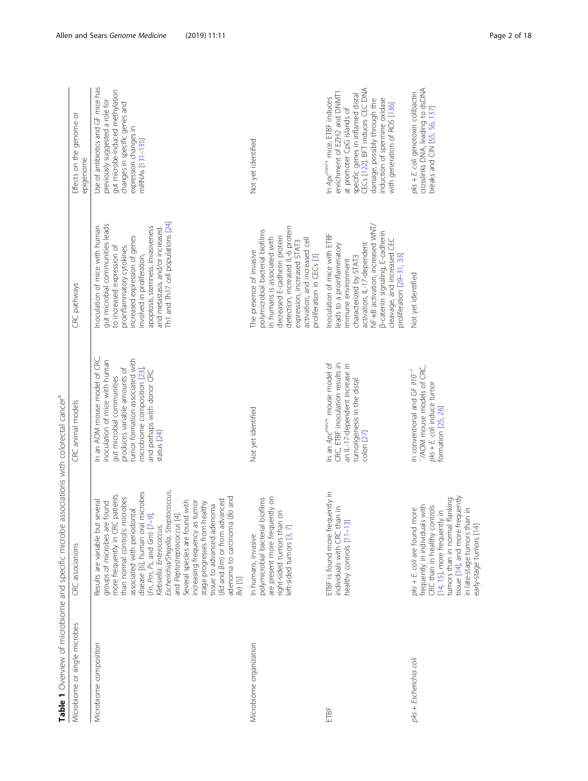<span id="page-1-0"></span>

| Table 1 Overview of microbiome and specific microbe |                                                                                                                                                                                                                                                                                                                                                                                                                                                                                                                                                                                | associations with colorectal cancer <sup>a</sup>                                                                                                                                                                                             |                                                                                                                                                                                                                                                                                                             |                                                                                                                                                                                                                                                                                   |
|-----------------------------------------------------|--------------------------------------------------------------------------------------------------------------------------------------------------------------------------------------------------------------------------------------------------------------------------------------------------------------------------------------------------------------------------------------------------------------------------------------------------------------------------------------------------------------------------------------------------------------------------------|----------------------------------------------------------------------------------------------------------------------------------------------------------------------------------------------------------------------------------------------|-------------------------------------------------------------------------------------------------------------------------------------------------------------------------------------------------------------------------------------------------------------------------------------------------------------|-----------------------------------------------------------------------------------------------------------------------------------------------------------------------------------------------------------------------------------------------------------------------------------|
| Microbiome or single microbes                       | <b>CRC</b> associations                                                                                                                                                                                                                                                                                                                                                                                                                                                                                                                                                        | CRC animal models                                                                                                                                                                                                                            | CRC pathways                                                                                                                                                                                                                                                                                                | Effects on the genome or<br>epigenome                                                                                                                                                                                                                                             |
| Microbiome composition                              | Escherichia/Shigella, Streptococcus,<br>microbes<br>more frequently in CRC patients<br>than normal controls: microbes<br>adenoma to carcinoma (Bo and<br>(Bd and Bm) or from advanced<br>Several species are found with<br>several<br>increasing frequency as tumor<br>healthy<br>groups of microbes are found<br>tissue to advanced adenoma<br>associated with periodontal<br>$\overline{4}$<br>(Fn, Pm, Ps, and Gm) [7-9],<br>Results are variable but<br>disease [6], human oral<br>Klebsiella, Enterococcus,<br>and Peptostreptococcus<br>stage progresses from<br>Bv) [5] | In an AOM mouse model of CRC,<br>tumor formation associated with<br>inoculation of mice with human<br>microbiome composition [23],<br>produces variable amounts of<br>and perhaps with donor CRC<br>gut microbial communities<br>status [24] | Th1 and Th17 cell populations [24]<br>gut microbial communities leads<br>Inoculation of mice with human<br>apoptosis, stemness, invasiveness<br>and metastasis, and/or increased<br>increased expression of genes<br>proinflammatory cytokines,<br>to increased expression of<br>involved in proliferation, | Use of antibiotics and GF mice has<br>gut microbe-induced methylation<br>previously suggested a role for<br>changes in specific genes and<br>expression changes in<br>miRNAs [131-135]                                                                                            |
| Microbiome organization                             | are present more frequently on<br>biofilms<br>right-sided tumors than on<br>polymicrobial bacterial<br>left-sided tumors [3, 7]<br>In humans, invasive                                                                                                                                                                                                                                                                                                                                                                                                                         | Not yet identified                                                                                                                                                                                                                           | detection, increased IL-6 protein<br>polymicrobial bacterial biofilms<br>decreased E-cadherin protein<br>in humans is associated with<br>activation, and increased cell<br>expression, increased STAT3<br>The presence of invasive<br>proliferation in CECs [3]                                             | Not yet identified                                                                                                                                                                                                                                                                |
| ETBF                                                | ETBF is found more frequently in<br>individuals with CRC than in<br>healthy controls [11-13]                                                                                                                                                                                                                                                                                                                                                                                                                                                                                   | In an Apc <sup>min/+</sup> mouse model of<br>CRC, ETBF inoculation results in<br>an IL-17-dependent increase in<br>tumorigenesis in the distal<br>colon [27]                                                                                 | NF-kB activation, increased WNT/<br>B-catenin signaling, E-cadherin<br>Inoculation of mice with ETBF<br>cleavage, and increased CEC<br>activation, IL-17-dependent<br>eads to a proinflammatory<br>oroliferation [29-31, 33]<br>characterized by STAT3<br>immune environment                                | CECs [122]. BFT induces CEC DNA<br>enrichment of EZH2 and DNMT1<br>specific genes in inflamed distal<br>In Apc <sup>min/+</sup> mice, ETBF induces<br>induction of spermine oxidase<br>damage, possibly through the<br>with generation of ROS [136]<br>at promoter CpG islands of |
| pks + Escherichia coli                              | tissue [14], and more frequently<br>tumors than in normal flanking<br>frequently in individuals with<br>CRC than in healthy controls<br>more<br>in late-stage tumors than in<br>[14, 15], more frequently in<br>early-stage tumors [14]<br>pks + E. coli are found                                                                                                                                                                                                                                                                                                             | -/AOM mouse models of CRC,<br>In conventional and GF $110^{-7}$<br>pks + E. coli induce tumor<br>formation [25, 26]                                                                                                                          | Not yet identified                                                                                                                                                                                                                                                                                          | crosslinks DNA, leading to dsDNA<br>pks + E. coli genotoxin colibactin<br>breaks and CIN [55, 56, 137]                                                                                                                                                                            |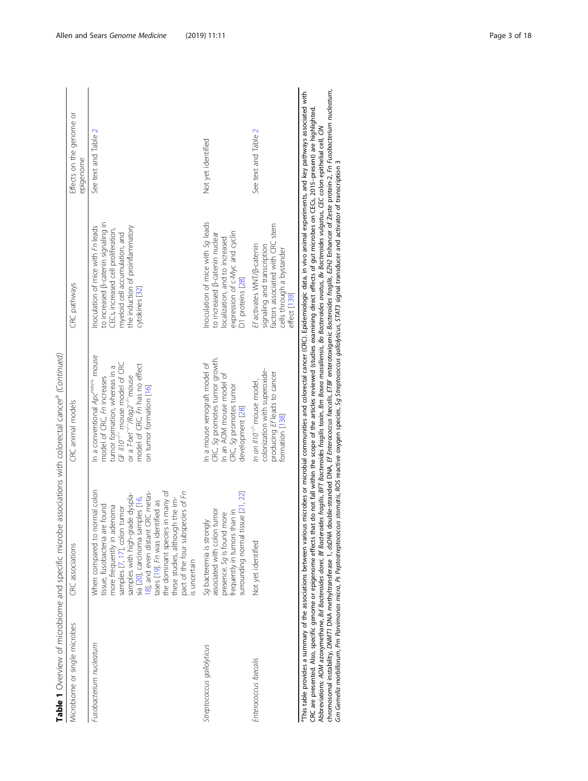|                               | CONDITIONAL DEVICED TO A SAN ANNO DEVICED TO A SAN AND THE SAN AND THE SAN AND THE SAN AND THE SAN AND THE SAN A                                                                                                                                                                                                                                                                                        |                                                                                                                                                                                                                                                                               |                                                                                                                                                                                                         |                                       |
|-------------------------------|---------------------------------------------------------------------------------------------------------------------------------------------------------------------------------------------------------------------------------------------------------------------------------------------------------------------------------------------------------------------------------------------------------|-------------------------------------------------------------------------------------------------------------------------------------------------------------------------------------------------------------------------------------------------------------------------------|---------------------------------------------------------------------------------------------------------------------------------------------------------------------------------------------------------|---------------------------------------|
| Microbiome or single microbes | CRC associations                                                                                                                                                                                                                                                                                                                                                                                        | CRC animal models                                                                                                                                                                                                                                                             | CRC pathways                                                                                                                                                                                            | Effects on the genome or<br>epigenome |
| Fusobacterium nucleatum       | When compared to normal colon<br>the dominant species in many of<br>18], and even distant CRC metas-<br>pact of the four subspecies of Fn<br>samples with high-grade dyspla-<br>these studies, although the im-<br>sia [20], carcinoma samples [16,<br>tases [19]. Fn was identified as<br>tissue, fusobacteria are found<br>more frequently in adenoma<br>samples [7, 17], colon tumor<br>is uncertain | In a conventional Apc <sup>min/+</sup> mouse<br>GF //10 <sup>-/-</sup> mouse model of CRC<br>model of CRC, Fn has no effect<br>tumor formation, whereas in a<br>or a T-bet <sup>-/-</sup> /Rag2 <sup>-/-</sup> mouse<br>model of CRC, Fn increases<br>on tumor formation [16] | to increased B-catenin signaling in<br>Inoculation of mice with Fn leads<br>the induction of prointlammatory<br>CECs, increased cell proliferation,<br>myeloid cell accumulation, and<br>cytokines [32] | See text and Table 2                  |
| Streptococcus gallolyticus    | surrounding normal tissue [21, 22]<br>associated with colon tumor<br>frequently in tumors than in<br>presence. Sg is found more<br>Sg bacteremia is strongly                                                                                                                                                                                                                                            | CRC, Sg promotes tumor growth.<br>In a mouse xenograft model of<br>In an AOM mouse model of<br>CRC, Sg promotes tumor<br>development [28]                                                                                                                                     | Inoculation of mice with Sq leads<br>expression of c-Myc and cyclin<br>to increased <b>B-catenin</b> nuclear<br>localization, and to increased<br>D1 proteins [28]                                      | Not yet identified                    |
| Enterococcus faecalis         | Not yet identified                                                                                                                                                                                                                                                                                                                                                                                      | colonization with superoxide-<br>producing Ef leads to cancer<br>In an II10 <sup>-<math>\sim</math></sup> mouse model,<br>formation [138]                                                                                                                                     | factors associated with CRC stem<br>Ef activates WNT/B-catenin<br>signaling and transcription<br>cells through a bystander<br>effect [139]                                                              | See text and Table 2                  |
|                               | This table provides a summary of the associations between various microbse or microbial communities and colorectal cancer (CRC). Epidemiologic data, in vivo animal experiments, and key pathways associated with                                                                                                                                                                                       |                                                                                                                                                                                                                                                                               |                                                                                                                                                                                                         |                                       |

accociations with colorade canoel (Cantinuad) Table 1 Overview of microbiome and specific microbe associations with colorectal cancer<sup>a</sup> (Continued) and coorific microbo  $\tilde{\mathcal{S}}$ Table 1 Overview of microbio

וא and provides a summary or the associations between various or microbial committes and colorectia carcer (אלה בשמשפט cara. in wo animal experiments, and key pathways associated with<br>Abbreviations: AOM azoxymethane, *Bd* chromosomal instability, DNMT1 DNA methyltransferase 1, dsDNA double-stranded DNA, Ef Enteroccccus faecalis, ETBF enterotoxigenic Bacteroides fragilis, EZH2 Enhancer of Zeste protein-2, Fn Fusobacterium nucleatum, aThis table provides a summary of the associations between various microbes or microbial communities and colorectal cancer (CRC). Epidemiologic data, in vivo animal experiments, and key pathways associated with CRC are presented. Also, specific genome or epigenome effects that do not fall within the scope of the articles reviewed (studies examining direct effects of gut microbes on CECs, 2015–present) are highlighted. Abbreviations: AOM azoxymethane, Bd Bacteroides dorei, Bf Bacteroides fragilis, BFT Bacteroides massiliensis, Bo Bacteroides ovatus, Bv Bacteroides vulgatus, CEC colon epithelial cell, CIN Gm Gemella morbillorum, Pm Parvimonas micra, Ps Peptostreptococcus stomatis, ROS reactive oxygen species, Sg Streptococcus gallolyticus, STAT3 signal transducer and activator of transcription 3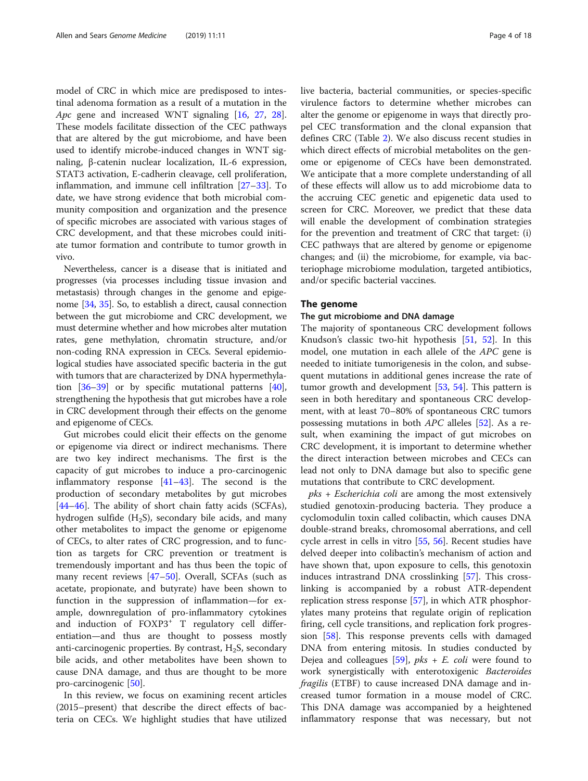model of CRC in which mice are predisposed to intestinal adenoma formation as a result of a mutation in the Apc gene and increased WNT signaling [\[16](#page-15-0), [27,](#page-15-0) [28](#page-15-0)]. These models facilitate dissection of the CEC pathways that are altered by the gut microbiome, and have been used to identify microbe-induced changes in WNT signaling, β-catenin nuclear localization, IL-6 expression, STAT3 activation, E-cadherin cleavage, cell proliferation, inflammation, and immune cell infiltration [[27](#page-15-0)–[33](#page-15-0)]. To date, we have strong evidence that both microbial community composition and organization and the presence of specific microbes are associated with various stages of CRC development, and that these microbes could initiate tumor formation and contribute to tumor growth in vivo.

Nevertheless, cancer is a disease that is initiated and progresses (via processes including tissue invasion and metastasis) through changes in the genome and epigenome [[34](#page-15-0), [35](#page-15-0)]. So, to establish a direct, causal connection between the gut microbiome and CRC development, we must determine whether and how microbes alter mutation rates, gene methylation, chromatin structure, and/or non-coding RNA expression in CECs. Several epidemiological studies have associated specific bacteria in the gut with tumors that are characterized by DNA hypermethylation [\[36](#page-15-0)–[39](#page-15-0)] or by specific mutational patterns [[40](#page-15-0)], strengthening the hypothesis that gut microbes have a role in CRC development through their effects on the genome and epigenome of CECs.

Gut microbes could elicit their effects on the genome or epigenome via direct or indirect mechanisms. There are two key indirect mechanisms. The first is the capacity of gut microbes to induce a pro-carcinogenic inflammatory response [[41](#page-15-0)–[43](#page-15-0)]. The second is the production of secondary metabolites by gut microbes [[44](#page-15-0)–[46](#page-15-0)]. The ability of short chain fatty acids (SCFAs), hydrogen sulfide  $(H_2S)$ , secondary bile acids, and many other metabolites to impact the genome or epigenome of CECs, to alter rates of CRC progression, and to function as targets for CRC prevention or treatment is tremendously important and has thus been the topic of many recent reviews [[47](#page-15-0)–[50](#page-15-0)]. Overall, SCFAs (such as acetate, propionate, and butyrate) have been shown to function in the suppression of inflammation—for example, downregulation of pro-inflammatory cytokines and induction of FOXP3<sup>+</sup> T regulatory cell differentiation—and thus are thought to possess mostly anti-carcinogenic properties. By contrast,  $H_2S$ , secondary bile acids, and other metabolites have been shown to cause DNA damage, and thus are thought to be more pro-carcinogenic [[50\]](#page-15-0).

In this review, we focus on examining recent articles (2015–present) that describe the direct effects of bacteria on CECs. We highlight studies that have utilized live bacteria, bacterial communities, or species-specific virulence factors to determine whether microbes can alter the genome or epigenome in ways that directly propel CEC transformation and the clonal expansion that defines CRC (Table [2\)](#page-4-0). We also discuss recent studies in which direct effects of microbial metabolites on the genome or epigenome of CECs have been demonstrated. We anticipate that a more complete understanding of all of these effects will allow us to add microbiome data to the accruing CEC genetic and epigenetic data used to screen for CRC. Moreover, we predict that these data will enable the development of combination strategies for the prevention and treatment of CRC that target: (i) CEC pathways that are altered by genome or epigenome changes; and (ii) the microbiome, for example, via bacteriophage microbiome modulation, targeted antibiotics, and/or specific bacterial vaccines.

#### The genome

#### The gut microbiome and DNA damage

The majority of spontaneous CRC development follows Knudson's classic two-hit hypothesis [\[51,](#page-15-0) [52\]](#page-15-0). In this model, one mutation in each allele of the APC gene is needed to initiate tumorigenesis in the colon, and subsequent mutations in additional genes increase the rate of tumor growth and development  $[53, 54]$  $[53, 54]$  $[53, 54]$  $[53, 54]$ . This pattern is seen in both hereditary and spontaneous CRC development, with at least 70–80% of spontaneous CRC tumors possessing mutations in both APC alleles [[52\]](#page-15-0). As a result, when examining the impact of gut microbes on CRC development, it is important to determine whether the direct interaction between microbes and CECs can lead not only to DNA damage but also to specific gene mutations that contribute to CRC development.

pks + Escherichia coli are among the most extensively studied genotoxin-producing bacteria. They produce a cyclomodulin toxin called colibactin, which causes DNA double-strand breaks, chromosomal aberrations, and cell cycle arrest in cells in vitro [[55](#page-15-0), [56\]](#page-16-0). Recent studies have delved deeper into colibactin's mechanism of action and have shown that, upon exposure to cells, this genotoxin induces intrastrand DNA crosslinking [\[57\]](#page-16-0). This crosslinking is accompanied by a robust ATR-dependent replication stress response [\[57](#page-16-0)], in which ATR phosphorylates many proteins that regulate origin of replication firing, cell cycle transitions, and replication fork progression [\[58](#page-16-0)]. This response prevents cells with damaged DNA from entering mitosis. In studies conducted by Dejea and colleagues [\[59](#page-16-0)],  $pks + E$ . coli were found to work synergistically with enterotoxigenic Bacteroides fragilis (ETBF) to cause increased DNA damage and increased tumor formation in a mouse model of CRC. This DNA damage was accompanied by a heightened inflammatory response that was necessary, but not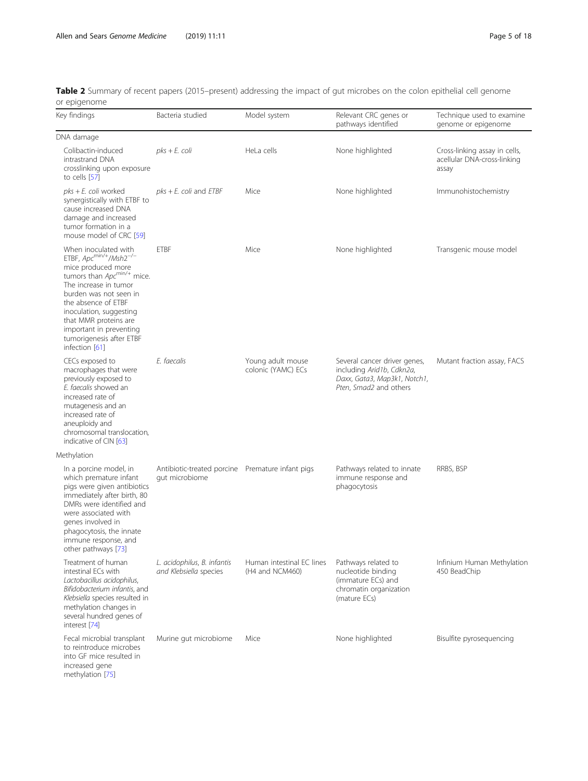<span id="page-4-0"></span>

| Table 2 Summary of recent papers (2015–present) addressing the impact of gut microbes on the colon epithelial cell genome |  |  |  |  |  |  |
|---------------------------------------------------------------------------------------------------------------------------|--|--|--|--|--|--|
| or epigenome                                                                                                              |  |  |  |  |  |  |

| or epigemonie                                                                                                                                                                                                                                                                                                                                  |                                                                    |                                              |                                                                                                                     |                                                                       |
|------------------------------------------------------------------------------------------------------------------------------------------------------------------------------------------------------------------------------------------------------------------------------------------------------------------------------------------------|--------------------------------------------------------------------|----------------------------------------------|---------------------------------------------------------------------------------------------------------------------|-----------------------------------------------------------------------|
| Key findings                                                                                                                                                                                                                                                                                                                                   | Bacteria studied                                                   | Model system                                 | Relevant CRC genes or<br>pathways identified                                                                        | Technique used to examine<br>genome or epigenome                      |
| DNA damage                                                                                                                                                                                                                                                                                                                                     |                                                                    |                                              |                                                                                                                     |                                                                       |
| Colibactin-induced<br>intrastrand DNA<br>crosslinking upon exposure<br>to cells $[57]$                                                                                                                                                                                                                                                         | $pks + E$ . coli                                                   | HeLa cells                                   | None highlighted                                                                                                    | Cross-linking assay in cells,<br>acellular DNA-cross-linking<br>assay |
| $pks + E$ . coli worked<br>synergistically with ETBF to<br>cause increased DNA<br>damage and increased<br>tumor formation in a<br>mouse model of CRC [59]                                                                                                                                                                                      | $pks + E$ . coli and <i>ETBF</i>                                   | Mice                                         | None highlighted                                                                                                    | Immunohistochemistry                                                  |
| When inoculated with<br>ETBF, Apc <sup>min/+</sup> /Msh2 <sup>-/-</sup><br>mice produced more<br>tumors than $Apc^{\text{min}/+}$ mice.<br>The increase in tumor<br>burden was not seen in<br>the absence of ETBF<br>inoculation, suggesting<br>that MMR proteins are<br>important in preventing<br>tumorigenesis after ETBF<br>infection [61] | <b>ETBF</b>                                                        | Mice                                         | None highlighted                                                                                                    | Transgenic mouse model                                                |
| CECs exposed to<br>macrophages that were<br>previously exposed to<br>E. faecalis showed an<br>increased rate of<br>mutagenesis and an<br>increased rate of<br>aneuploidy and<br>chromosomal translocation,<br>indicative of CIN [63]                                                                                                           | E. faecalis                                                        | Young adult mouse<br>colonic (YAMC) ECs      | Several cancer driver genes,<br>including Arid1b, Cdkn2a,<br>Daxx, Gata3, Map3k1, Notch1,<br>Pten, Smad2 and others | Mutant fraction assay, FACS                                           |
| Methylation                                                                                                                                                                                                                                                                                                                                    |                                                                    |                                              |                                                                                                                     |                                                                       |
| In a porcine model, in<br>which premature infant<br>pigs were given antibiotics<br>immediately after birth, 80<br>DMRs were identified and<br>were associated with<br>genes involved in<br>phagocytosis, the innate<br>immune response, and<br>other pathways [73]                                                                             | Antibiotic-treated porcine Premature infant pigs<br>gut microbiome |                                              | Pathways related to innate<br>immune response and<br>phagocytosis                                                   | RRBS, BSP                                                             |
| Treatment of human<br>intestinal ECs with<br>Lactobacillus acidophilus,<br>Bifidobacterium infantis, and<br>Klebsiella species resulted in<br>methylation changes in<br>several hundred genes of<br>interest [74]                                                                                                                              | L. acidophilus, B. infantis<br>and Klebsiella species              | Human intestinal EC lines<br>(H4 and NCM460) | Pathways related to<br>nucleotide binding<br>(immature ECs) and<br>chromatin organization<br>(mature ECs)           | Infinium Human Methylation<br>450 BeadChip                            |
| Fecal microbial transplant<br>to reintroduce microbes<br>into GF mice resulted in<br>increased gene<br>methylation [75]                                                                                                                                                                                                                        | Murine gut microbiome                                              | Mice                                         | None highlighted                                                                                                    | Bisulfite pyrosequencing                                              |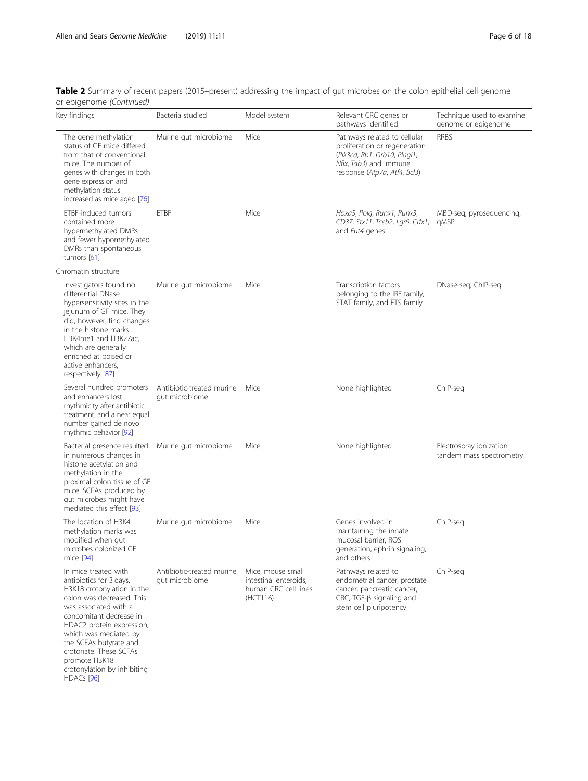| Table 2 Summary of recent papers (2015–present) addressing the impact of gut microbes on the colon epithelial cell genome |  |  |
|---------------------------------------------------------------------------------------------------------------------------|--|--|
| or epigenome (Continued)                                                                                                  |  |  |

| or epigemonie (continuea)                                                                                                                                                                                                                                                         |                                             |                                                                                |                                                                                                                                                         |                                                     |
|-----------------------------------------------------------------------------------------------------------------------------------------------------------------------------------------------------------------------------------------------------------------------------------|---------------------------------------------|--------------------------------------------------------------------------------|---------------------------------------------------------------------------------------------------------------------------------------------------------|-----------------------------------------------------|
| Key findings                                                                                                                                                                                                                                                                      | Bacteria studied                            | Model system                                                                   | Relevant CRC genes or<br>pathways identified                                                                                                            | Technique used to examine<br>genome or epigenome    |
| The gene methylation<br>status of GF mice differed<br>from that of conventional<br>mice. The number of<br>genes with changes in both<br>gene expression and<br>methylation status<br>increased as mice aged [76]                                                                  | Murine gut microbiome                       | Mice                                                                           | Pathways related to cellular<br>proliferation or regeneration<br>(Pik3cd, Rb1, Grb10, Plagl1,<br>Nfix, Tab3) and immune<br>response (Atp7a, Atf4, Bcl3) | <b>RRBS</b>                                         |
| ETBF-induced tumors<br>contained more<br>hypermethylated DMRs<br>and fewer hypomethylated<br>DMRs than spontaneous<br>tumors $[61]$                                                                                                                                               | <b>ETBF</b>                                 | Mice                                                                           | Hoxa5, Polg, Runx1, Runx3,<br>CD37, Stx11, Tceb2, Lgr6, Cdx1,<br>and Fut4 genes                                                                         | MBD-seq, pyrosequencing,<br>gMSP                    |
| Chromatin structure                                                                                                                                                                                                                                                               |                                             |                                                                                |                                                                                                                                                         |                                                     |
| Investigators found no<br>differential DNase<br>hypersensitivity sites in the<br>jejunum of GF mice. They<br>did, however, find changes<br>in the histone marks<br>H3K4me1 and H3K27ac,<br>which are generally<br>enriched at poised or<br>active enhancers,<br>respectively [87] | Murine gut microbiome                       | Mice                                                                           | Transcription factors<br>belonging to the IRF family,<br>STAT family, and ETS family                                                                    | DNase-seg, ChIP-seg                                 |
| Several hundred promoters<br>and enhancers lost<br>rhythmicity after antibiotic<br>treatment, and a near equal<br>number gained de novo<br>rhythmic behavior [92]                                                                                                                 | Antibiotic-treated murine<br>gut microbiome | Mice                                                                           | None highlighted                                                                                                                                        | ChIP-seq                                            |
| Bacterial presence resulted<br>in numerous changes in<br>histone acetylation and<br>methylation in the<br>proximal colon tissue of GF<br>mice. SCFAs produced by<br>gut microbes might have<br>mediated this effect [93]                                                          | Murine gut microbiome                       | Mice                                                                           | None highlighted                                                                                                                                        | Electrospray ionization<br>tandem mass spectrometry |
| The location of H3K4<br>methylation marks was<br>modified when gut<br>microbes colonized GF<br>mice [94]                                                                                                                                                                          | Murine gut microbiome                       | Mice                                                                           | Genes involved in<br>maintaining the innate<br>mucosal barrier, ROS<br>generation, ephrin signaling,<br>and others                                      | ChIP-seq                                            |
| In mice treated with<br>antibiotics for 3 days,<br>H3K18 crotonylation in the<br>colon was decreased. This<br>was associated with a<br>concomitant decrease in<br>HDAC2 protein expression,<br>which was mediated by<br>the SCFAs butyrate and<br>crotonate. These SCFAs          | Antibiotic-treated murine<br>qut microbiome | Mice, mouse small<br>intestinal enteroids,<br>human CRC cell lines<br>(HCT116) | Pathways related to<br>endometrial cancer, prostate<br>cancer, pancreatic cancer,<br>CRC, TGF- $\beta$ signaling and<br>stem cell pluripotency          | ChIP-seq                                            |

promote H3K18 crotonylation by inhibiting HDACs [\[96\]](#page-16-0)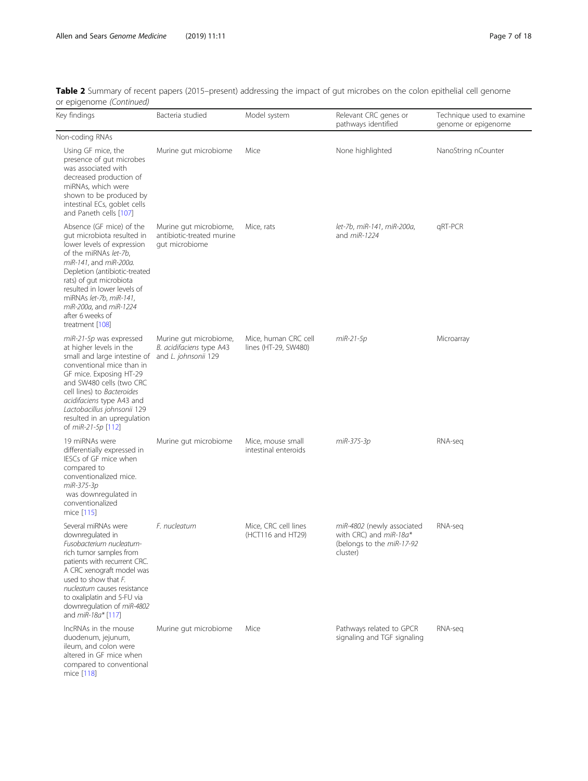| Table 2 Summary of recent papers (2015–present) addressing the impact of gut microbes on the colon epithelial cell genome |  |  |  |  |  |
|---------------------------------------------------------------------------------------------------------------------------|--|--|--|--|--|
| or epigenome (Continued)                                                                                                  |  |  |  |  |  |

| Key findings                                                                                                                                                                                                                                                                                                                   | Bacteria studied                                                           | Model system                                 | Relevant CRC genes or<br>pathways identified                                                  | Technique used to examine<br>genome or epigenome |
|--------------------------------------------------------------------------------------------------------------------------------------------------------------------------------------------------------------------------------------------------------------------------------------------------------------------------------|----------------------------------------------------------------------------|----------------------------------------------|-----------------------------------------------------------------------------------------------|--------------------------------------------------|
| Non-coding RNAs                                                                                                                                                                                                                                                                                                                |                                                                            |                                              |                                                                                               |                                                  |
| Using GF mice, the<br>presence of gut microbes<br>was associated with<br>decreased production of<br>miRNAs, which were<br>shown to be produced by<br>intestinal ECs, goblet cells<br>and Paneth cells [107]                                                                                                                    | Murine gut microbiome                                                      | Mice                                         | None highlighted                                                                              | NanoString nCounter                              |
| Absence (GF mice) of the<br>gut microbiota resulted in<br>lower levels of expression<br>of the miRNAs let-7b,<br>miR-141, and miR-200a.<br>Depletion (antibiotic-treated<br>rats) of gut microbiota<br>resulted in lower levels of<br>miRNAs let-7b, miR-141,<br>miR-200a, and miR-1224<br>after 6 weeks of<br>treatment [108] | Murine gut microbiome,<br>antibiotic-treated murine<br>qut microbiome      | Mice, rats                                   | let-7b, miR-141, miR-200a,<br>and miR-1224                                                    | qRT-PCR                                          |
| miR-21-5p was expressed<br>at higher levels in the<br>small and large intestine of<br>conventional mice than in<br>GF mice. Exposing HT-29<br>and SW480 cells (two CRC<br>cell lines) to Bacteroides<br>acidifaciens type A43 and<br>Lactobacillus johnsonii 129<br>resulted in an upregulation<br>of miR-21-5p [112]          | Murine gut microbiome,<br>B. acidifaciens type A43<br>and L. johnsonii 129 | Mice, human CRC cell<br>lines (HT-29, SW480) | miR-21-5p                                                                                     | Microarray                                       |
| 19 miRNAs were<br>differentially expressed in<br>IESCs of GF mice when<br>compared to<br>conventionalized mice.<br>miR-375-3p<br>was downregulated in<br>conventionalized<br>mice [115]                                                                                                                                        | Murine gut microbiome                                                      | Mice, mouse small<br>intestinal enteroids    | miR-375-3p                                                                                    | RNA-seq                                          |
| Several miRNAs were<br>downregulated in<br>Fusobacterium nucleatum-<br>rich tumor samples from<br>patients with recurrent CRC.<br>A CRC xenograft model was<br>used to show that F.<br>nucleatum causes resistance<br>to oxaliplatin and 5-FU via<br>downregulation of miR-4802<br>and miR-18a* [117]                          | F. nucleatum                                                               | Mice, CRC cell lines<br>(HCT116 and HT29)    | miR-4802 (newly associated<br>with CRC) and miR-18a*<br>(belongs to the miR-17-92<br>cluster) | RNA-seq                                          |
| IncRNAs in the mouse<br>duodenum, jejunum,<br>ileum, and colon were<br>altered in GF mice when<br>compared to conventional<br>mice [118]                                                                                                                                                                                       | Murine gut microbiome                                                      | Mice                                         | Pathways related to GPCR<br>signaling and TGF signaling                                       | RNA-seq                                          |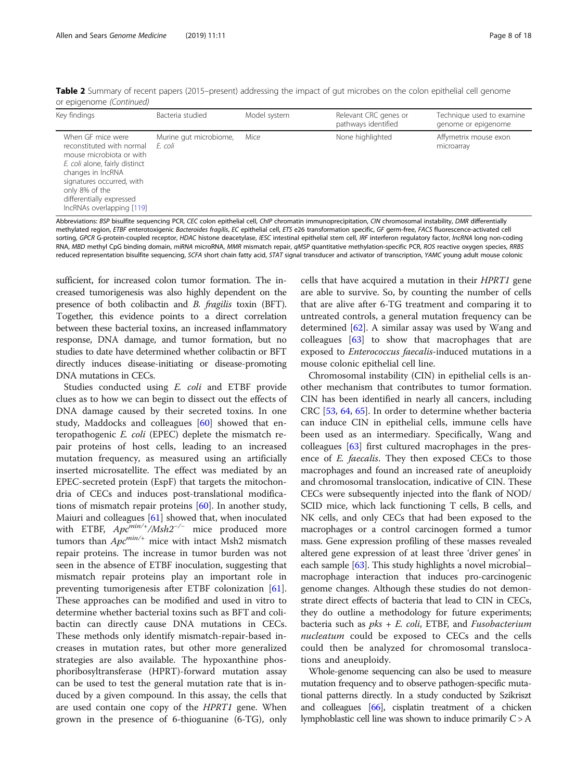Table 2 Summary of recent papers (2015–present) addressing the impact of gut microbes on the colon epithelial cell genome or epigenome (Continued)

| Key findings                                                                                                                                                                                                                              | Bacteria studied                  | Model system | Relevant CRC genes or<br>pathways identified | Technique used to examine<br>genome or epigenome |
|-------------------------------------------------------------------------------------------------------------------------------------------------------------------------------------------------------------------------------------------|-----------------------------------|--------------|----------------------------------------------|--------------------------------------------------|
| When GF mice were<br>reconstituted with normal<br>mouse microbiota or with<br>E. coli alone, fairly distinct<br>changes in IncRNA<br>signatures occurred, with<br>only 8% of the<br>differentially expressed<br>IncRNAs overlapping [119] | Murine gut microbiome,<br>F. coli | Mice         | None highlighted                             | Affymetrix mouse exon<br>microarray              |

methylated region, ETBF enterotoxigenic Bacteroides fragilis, EC epithelial cell, ETS e26 transformation specific, GF germ-free, FACS fluorescence-activated cell sorting, GPCR G-protein-coupled receptor, HDAC histone deacetylase, IESC intestinal epithelial stem cell, IRF interferon regulatory factor, IncRNA long non-coding RNA, MBD methyl CpG binding domain, miRNA microRNA, MMR mismatch repair, qMSP quantitative methylation-specific PCR, ROS reactive oxygen species, RRBS reduced representation bisulfite sequencing, SCFA short chain fatty acid, STAT signal transducer and activator of transcription, YAMC young adult mouse colonic

sufficient, for increased colon tumor formation. The increased tumorigenesis was also highly dependent on the presence of both colibactin and B. fragilis toxin (BFT). Together, this evidence points to a direct correlation between these bacterial toxins, an increased inflammatory response, DNA damage, and tumor formation, but no studies to date have determined whether colibactin or BFT directly induces disease-initiating or disease-promoting DNA mutations in CECs.

Studies conducted using E. coli and ETBF provide clues as to how we can begin to dissect out the effects of DNA damage caused by their secreted toxins. In one study, Maddocks and colleagues  $[60]$  $[60]$  $[60]$  showed that enteropathogenic E. coli (EPEC) deplete the mismatch repair proteins of host cells, leading to an increased mutation frequency, as measured using an artificially inserted microsatellite. The effect was mediated by an EPEC-secreted protein (EspF) that targets the mitochondria of CECs and induces post-translational modifications of mismatch repair proteins [\[60](#page-16-0)]. In another study, Maiuri and colleagues [[61](#page-16-0)] showed that, when inoculated with ETBF,  $Apc^{min/+}/Msh2^{-/-}$  mice produced more tumors than  $Apc^{min/+}$  mice with intact Msh2 mismatch repair proteins. The increase in tumor burden was not seen in the absence of ETBF inoculation, suggesting that mismatch repair proteins play an important role in preventing tumorigenesis after ETBF colonization [\[61](#page-16-0)]. These approaches can be modified and used in vitro to determine whether bacterial toxins such as BFT and colibactin can directly cause DNA mutations in CECs. These methods only identify mismatch-repair-based increases in mutation rates, but other more generalized strategies are also available. The hypoxanthine phosphoribosyltransferase (HPRT)-forward mutation assay can be used to test the general mutation rate that is induced by a given compound. In this assay, the cells that are used contain one copy of the HPRT1 gene. When grown in the presence of 6-thioguanine (6-TG), only

cells that have acquired a mutation in their HPRT1 gene are able to survive. So, by counting the number of cells that are alive after 6-TG treatment and comparing it to untreated controls, a general mutation frequency can be determined  $[62]$  $[62]$ . A similar assay was used by Wang and colleagues  $[63]$  $[63]$  to show that macrophages that are exposed to *Enterococcus faecalis*-induced mutations in a mouse colonic epithelial cell line.

Chromosomal instability (CIN) in epithelial cells is another mechanism that contributes to tumor formation. CIN has been identified in nearly all cancers, including CRC [\[53](#page-15-0), [64,](#page-16-0) [65\]](#page-16-0). In order to determine whether bacteria can induce CIN in epithelial cells, immune cells have been used as an intermediary. Specifically, Wang and colleagues [[63\]](#page-16-0) first cultured macrophages in the presence of *E. faecalis*. They then exposed CECs to those macrophages and found an increased rate of aneuploidy and chromosomal translocation, indicative of CIN. These CECs were subsequently injected into the flank of NOD/ SCID mice, which lack functioning T cells, B cells, and NK cells, and only CECs that had been exposed to the macrophages or a control carcinogen formed a tumor mass. Gene expression profiling of these masses revealed altered gene expression of at least three 'driver genes' in each sample  $[63]$  $[63]$ . This study highlights a novel microbialmacrophage interaction that induces pro-carcinogenic genome changes. Although these studies do not demonstrate direct effects of bacteria that lead to CIN in CECs, they do outline a methodology for future experiments; bacteria such as  $pks + E$ . coli, ETBF, and *Fusobacterium* nucleatum could be exposed to CECs and the cells could then be analyzed for chromosomal translocations and aneuploidy.

Whole-genome sequencing can also be used to measure mutation frequency and to observe pathogen-specific mutational patterns directly. In a study conducted by Szikriszt and colleagues [\[66](#page-16-0)], cisplatin treatment of a chicken lymphoblastic cell line was shown to induce primarily  $C > A$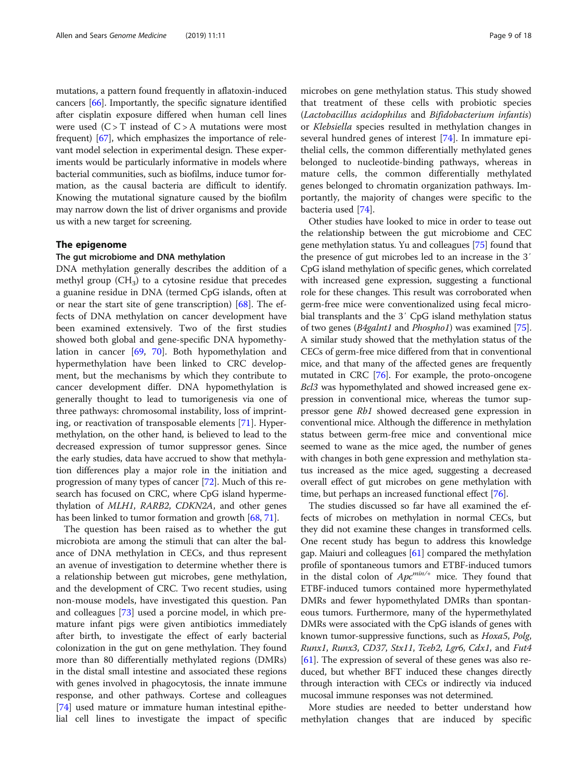mutations, a pattern found frequently in aflatoxin-induced cancers [\[66\]](#page-16-0). Importantly, the specific signature identified after cisplatin exposure differed when human cell lines were used  $(C > T$  instead of  $C > A$  mutations were most frequent) [\[67\]](#page-16-0), which emphasizes the importance of relevant model selection in experimental design. These experiments would be particularly informative in models where bacterial communities, such as biofilms, induce tumor formation, as the causal bacteria are difficult to identify. Knowing the mutational signature caused by the biofilm may narrow down the list of driver organisms and provide us with a new target for screening.

#### The epigenome

#### The gut microbiome and DNA methylation

DNA methylation generally describes the addition of a methyl group  $(CH_3)$  to a cytosine residue that precedes a guanine residue in DNA (termed CpG islands, often at or near the start site of gene transcription) [[68](#page-16-0)]. The effects of DNA methylation on cancer development have been examined extensively. Two of the first studies showed both global and gene-specific DNA hypomethylation in cancer [[69,](#page-16-0) [70\]](#page-16-0). Both hypomethylation and hypermethylation have been linked to CRC development, but the mechanisms by which they contribute to cancer development differ. DNA hypomethylation is generally thought to lead to tumorigenesis via one of three pathways: chromosomal instability, loss of imprinting, or reactivation of transposable elements [\[71](#page-16-0)]. Hypermethylation, on the other hand, is believed to lead to the decreased expression of tumor suppressor genes. Since the early studies, data have accrued to show that methylation differences play a major role in the initiation and progression of many types of cancer [\[72\]](#page-16-0). Much of this research has focused on CRC, where CpG island hypermethylation of MLH1, RARB2, CDKN2A, and other genes has been linked to tumor formation and growth [[68](#page-16-0), [71\]](#page-16-0).

The question has been raised as to whether the gut microbiota are among the stimuli that can alter the balance of DNA methylation in CECs, and thus represent an avenue of investigation to determine whether there is a relationship between gut microbes, gene methylation, and the development of CRC. Two recent studies, using non-mouse models, have investigated this question. Pan and colleagues [\[73](#page-16-0)] used a porcine model, in which premature infant pigs were given antibiotics immediately after birth, to investigate the effect of early bacterial colonization in the gut on gene methylation. They found more than 80 differentially methylated regions (DMRs) in the distal small intestine and associated these regions with genes involved in phagocytosis, the innate immune response, and other pathways. Cortese and colleagues [[74\]](#page-16-0) used mature or immature human intestinal epithelial cell lines to investigate the impact of specific microbes on gene methylation status. This study showed that treatment of these cells with probiotic species (Lactobacillus acidophilus and Bifidobacterium infantis) or Klebsiella species resulted in methylation changes in several hundred genes of interest [[74\]](#page-16-0). In immature epithelial cells, the common differentially methylated genes belonged to nucleotide-binding pathways, whereas in mature cells, the common differentially methylated genes belonged to chromatin organization pathways. Importantly, the majority of changes were specific to the bacteria used [[74](#page-16-0)].

Other studies have looked to mice in order to tease out the relationship between the gut microbiome and CEC gene methylation status. Yu and colleagues [\[75](#page-16-0)] found that the presence of gut microbes led to an increase in the 3′ CpG island methylation of specific genes, which correlated with increased gene expression, suggesting a functional role for these changes. This result was corroborated when germ-free mice were conventionalized using fecal microbial transplants and the 3′ CpG island methylation status of two genes (B4galnt1 and Phospho1) was examined [[75](#page-16-0)]. A similar study showed that the methylation status of the CECs of germ-free mice differed from that in conventional mice, and that many of the affected genes are frequently mutated in CRC [\[76\]](#page-16-0). For example, the proto-oncogene Bcl3 was hypomethylated and showed increased gene expression in conventional mice, whereas the tumor suppressor gene Rb1 showed decreased gene expression in conventional mice. Although the difference in methylation status between germ-free mice and conventional mice seemed to wane as the mice aged, the number of genes with changes in both gene expression and methylation status increased as the mice aged, suggesting a decreased overall effect of gut microbes on gene methylation with time, but perhaps an increased functional effect [\[76\]](#page-16-0).

The studies discussed so far have all examined the effects of microbes on methylation in normal CECs, but they did not examine these changes in transformed cells. One recent study has begun to address this knowledge gap. Maiuri and colleagues [\[61\]](#page-16-0) compared the methylation profile of spontaneous tumors and ETBF-induced tumors in the distal colon of  $Apc^{min/+}$  mice. They found that ETBF-induced tumors contained more hypermethylated DMRs and fewer hypomethylated DMRs than spontaneous tumors. Furthermore, many of the hypermethylated DMRs were associated with the CpG islands of genes with known tumor-suppressive functions, such as Hoxa5, Polg, Runx1, Runx3, CD37, Stx11, Tceb2, Lgr6, Cdx1, and Fut4 [[61](#page-16-0)]. The expression of several of these genes was also reduced, but whether BFT induced these changes directly through interaction with CECs or indirectly via induced mucosal immune responses was not determined.

More studies are needed to better understand how methylation changes that are induced by specific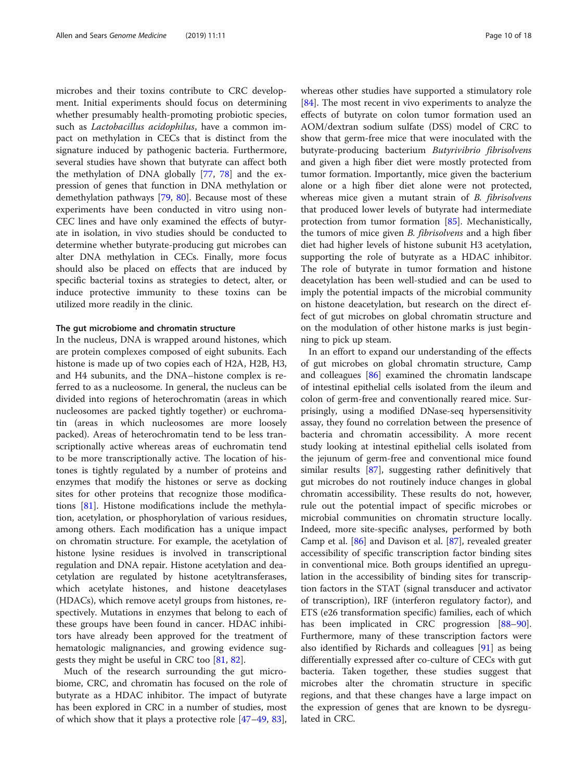microbes and their toxins contribute to CRC development. Initial experiments should focus on determining whether presumably health-promoting probiotic species, such as Lactobacillus acidophilus, have a common impact on methylation in CECs that is distinct from the signature induced by pathogenic bacteria. Furthermore, several studies have shown that butyrate can affect both the methylation of DNA globally [[77,](#page-16-0) [78](#page-16-0)] and the expression of genes that function in DNA methylation or demethylation pathways [\[79,](#page-16-0) [80\]](#page-16-0). Because most of these experiments have been conducted in vitro using non-CEC lines and have only examined the effects of butyrate in isolation, in vivo studies should be conducted to determine whether butyrate-producing gut microbes can alter DNA methylation in CECs. Finally, more focus should also be placed on effects that are induced by specific bacterial toxins as strategies to detect, alter, or induce protective immunity to these toxins can be utilized more readily in the clinic.

#### The gut microbiome and chromatin structure

In the nucleus, DNA is wrapped around histones, which are protein complexes composed of eight subunits. Each histone is made up of two copies each of H2A, H2B, H3, and H4 subunits, and the DNA–histone complex is referred to as a nucleosome. In general, the nucleus can be divided into regions of heterochromatin (areas in which nucleosomes are packed tightly together) or euchromatin (areas in which nucleosomes are more loosely packed). Areas of heterochromatin tend to be less transcriptionally active whereas areas of euchromatin tend to be more transcriptionally active. The location of histones is tightly regulated by a number of proteins and enzymes that modify the histones or serve as docking sites for other proteins that recognize those modifications [[81\]](#page-16-0). Histone modifications include the methylation, acetylation, or phosphorylation of various residues, among others. Each modification has a unique impact on chromatin structure. For example, the acetylation of histone lysine residues is involved in transcriptional regulation and DNA repair. Histone acetylation and deacetylation are regulated by histone acetyltransferases, which acetylate histones, and histone deacetylases (HDACs), which remove acetyl groups from histones, respectively. Mutations in enzymes that belong to each of these groups have been found in cancer. HDAC inhibitors have already been approved for the treatment of hematologic malignancies, and growing evidence suggests they might be useful in CRC too [[81,](#page-16-0) [82\]](#page-16-0).

Much of the research surrounding the gut microbiome, CRC, and chromatin has focused on the role of butyrate as a HDAC inhibitor. The impact of butyrate has been explored in CRC in a number of studies, most of which show that it plays a protective role [[47](#page-15-0)–[49](#page-15-0), [83](#page-16-0)],

whereas other studies have supported a stimulatory role [[84\]](#page-16-0). The most recent in vivo experiments to analyze the effects of butyrate on colon tumor formation used an AOM/dextran sodium sulfate (DSS) model of CRC to show that germ-free mice that were inoculated with the butyrate-producing bacterium Butyrivibrio fibrisolvens and given a high fiber diet were mostly protected from tumor formation. Importantly, mice given the bacterium alone or a high fiber diet alone were not protected, whereas mice given a mutant strain of *B. fibrisolvens* that produced lower levels of butyrate had intermediate protection from tumor formation [\[85](#page-16-0)]. Mechanistically, the tumors of mice given B. fibrisolvens and a high fiber diet had higher levels of histone subunit H3 acetylation, supporting the role of butyrate as a HDAC inhibitor. The role of butyrate in tumor formation and histone deacetylation has been well-studied and can be used to imply the potential impacts of the microbial community on histone deacetylation, but research on the direct effect of gut microbes on global chromatin structure and on the modulation of other histone marks is just beginning to pick up steam.

In an effort to expand our understanding of the effects of gut microbes on global chromatin structure, Camp and colleagues [\[86](#page-16-0)] examined the chromatin landscape of intestinal epithelial cells isolated from the ileum and colon of germ-free and conventionally reared mice. Surprisingly, using a modified DNase-seq hypersensitivity assay, they found no correlation between the presence of bacteria and chromatin accessibility. A more recent study looking at intestinal epithelial cells isolated from the jejunum of germ-free and conventional mice found similar results  $[87]$  $[87]$ , suggesting rather definitively that gut microbes do not routinely induce changes in global chromatin accessibility. These results do not, however, rule out the potential impact of specific microbes or microbial communities on chromatin structure locally. Indeed, more site-specific analyses, performed by both Camp et al. [[86](#page-16-0)] and Davison et al. [\[87\]](#page-16-0), revealed greater accessibility of specific transcription factor binding sites in conventional mice. Both groups identified an upregulation in the accessibility of binding sites for transcription factors in the STAT (signal transducer and activator of transcription), IRF (interferon regulatory factor), and ETS (e26 transformation specific) families, each of which has been implicated in CRC progression [[88](#page-16-0)–[90](#page-16-0)]. Furthermore, many of these transcription factors were also identified by Richards and colleagues [\[91](#page-16-0)] as being differentially expressed after co-culture of CECs with gut bacteria. Taken together, these studies suggest that microbes alter the chromatin structure in specific regions, and that these changes have a large impact on the expression of genes that are known to be dysregulated in CRC.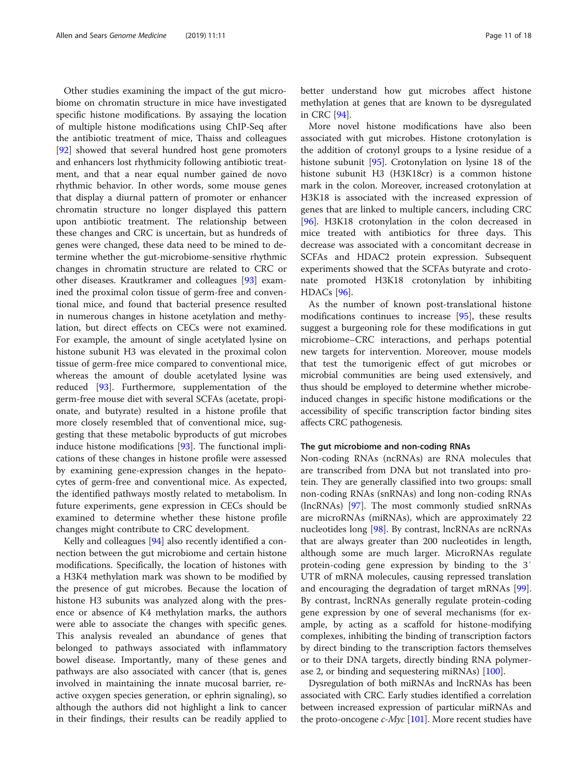Other studies examining the impact of the gut microbiome on chromatin structure in mice have investigated specific histone modifications. By assaying the location of multiple histone modifications using ChIP-Seq after the antibiotic treatment of mice, Thaiss and colleagues [[92\]](#page-16-0) showed that several hundred host gene promoters and enhancers lost rhythmicity following antibiotic treatment, and that a near equal number gained de novo rhythmic behavior. In other words, some mouse genes that display a diurnal pattern of promoter or enhancer chromatin structure no longer displayed this pattern upon antibiotic treatment. The relationship between these changes and CRC is uncertain, but as hundreds of genes were changed, these data need to be mined to determine whether the gut-microbiome-sensitive rhythmic changes in chromatin structure are related to CRC or other diseases. Krautkramer and colleagues [[93](#page-16-0)] examined the proximal colon tissue of germ-free and conventional mice, and found that bacterial presence resulted in numerous changes in histone acetylation and methylation, but direct effects on CECs were not examined. For example, the amount of single acetylated lysine on histone subunit H3 was elevated in the proximal colon tissue of germ-free mice compared to conventional mice, whereas the amount of double acetylated lysine was reduced [\[93](#page-16-0)]. Furthermore, supplementation of the germ-free mouse diet with several SCFAs (acetate, propionate, and butyrate) resulted in a histone profile that more closely resembled that of conventional mice, suggesting that these metabolic byproducts of gut microbes induce histone modifications [[93\]](#page-16-0). The functional implications of these changes in histone profile were assessed by examining gene-expression changes in the hepatocytes of germ-free and conventional mice. As expected, the identified pathways mostly related to metabolism. In future experiments, gene expression in CECs should be examined to determine whether these histone profile changes might contribute to CRC development.

Kelly and colleagues [[94](#page-16-0)] also recently identified a connection between the gut microbiome and certain histone modifications. Specifically, the location of histones with a H3K4 methylation mark was shown to be modified by the presence of gut microbes. Because the location of histone H3 subunits was analyzed along with the presence or absence of K4 methylation marks, the authors were able to associate the changes with specific genes. This analysis revealed an abundance of genes that belonged to pathways associated with inflammatory bowel disease. Importantly, many of these genes and pathways are also associated with cancer (that is, genes involved in maintaining the innate mucosal barrier, reactive oxygen species generation, or ephrin signaling), so although the authors did not highlight a link to cancer in their findings, their results can be readily applied to

better understand how gut microbes affect histone methylation at genes that are known to be dysregulated in CRC [\[94\]](#page-16-0).

More novel histone modifications have also been associated with gut microbes. Histone crotonylation is the addition of crotonyl groups to a lysine residue of a histone subunit [[95\]](#page-16-0). Crotonylation on lysine 18 of the histone subunit H3 (H3K18cr) is a common histone mark in the colon. Moreover, increased crotonylation at H3K18 is associated with the increased expression of genes that are linked to multiple cancers, including CRC [[96\]](#page-16-0). H3K18 crotonylation in the colon decreased in mice treated with antibiotics for three days. This decrease was associated with a concomitant decrease in SCFAs and HDAC2 protein expression. Subsequent experiments showed that the SCFAs butyrate and crotonate promoted H3K18 crotonylation by inhibiting HDACs [[96\]](#page-16-0).

As the number of known post-translational histone modifications continues to increase [\[95\]](#page-16-0), these results suggest a burgeoning role for these modifications in gut microbiome–CRC interactions, and perhaps potential new targets for intervention. Moreover, mouse models that test the tumorigenic effect of gut microbes or microbial communities are being used extensively, and thus should be employed to determine whether microbeinduced changes in specific histone modifications or the accessibility of specific transcription factor binding sites affects CRC pathogenesis.

#### The gut microbiome and non-coding RNAs

Non-coding RNAs (ncRNAs) are RNA molecules that are transcribed from DNA but not translated into protein. They are generally classified into two groups: small non-coding RNAs (snRNAs) and long non-coding RNAs (lncRNAs) [[97\]](#page-16-0). The most commonly studied snRNAs are microRNAs (miRNAs), which are approximately 22 nucleotides long [\[98](#page-16-0)]. By contrast, lncRNAs are ncRNAs that are always greater than 200 nucleotides in length, although some are much larger. MicroRNAs regulate protein-coding gene expression by binding to the 3′ UTR of mRNA molecules, causing repressed translation and encouraging the degradation of target mRNAs [\[99](#page-16-0)]. By contrast, lncRNAs generally regulate protein-coding gene expression by one of several mechanisms (for example, by acting as a scaffold for histone-modifying complexes, inhibiting the binding of transcription factors by direct binding to the transcription factors themselves or to their DNA targets, directly binding RNA polymerase 2, or binding and sequestering miRNAs) [\[100\]](#page-16-0).

Dysregulation of both miRNAs and lncRNAs has been associated with CRC. Early studies identified a correlation between increased expression of particular miRNAs and the proto-oncogene  $c$ -*Myc* [[101](#page-16-0)]. More recent studies have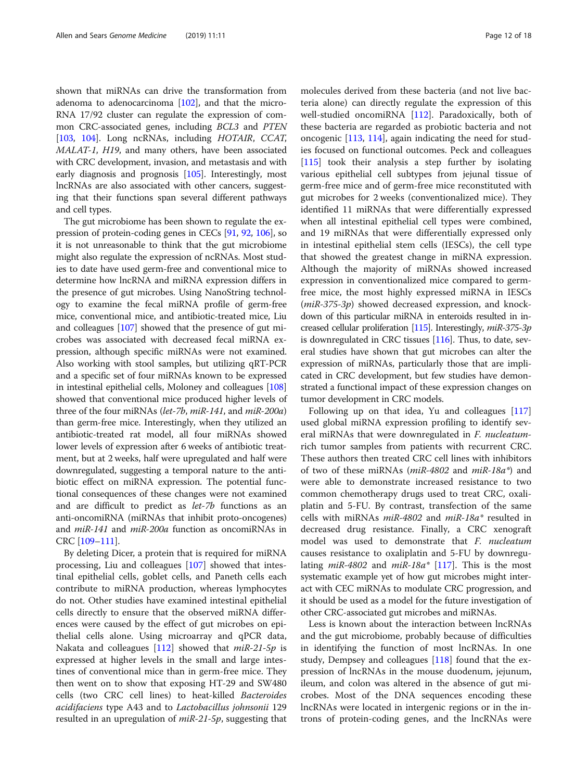shown that miRNAs can drive the transformation from adenoma to adenocarcinoma [\[102\]](#page-16-0), and that the micro-RNA 17/92 cluster can regulate the expression of common CRC-associated genes, including *BCL3* and *PTEN* [[103](#page-16-0), [104\]](#page-16-0). Long ncRNAs, including HOTAIR, CCAT, MALAT-1, H19, and many others, have been associated with CRC development, invasion, and metastasis and with early diagnosis and prognosis [\[105](#page-17-0)]. Interestingly, most lncRNAs are also associated with other cancers, suggesting that their functions span several different pathways and cell types.

The gut microbiome has been shown to regulate the expression of protein-coding genes in CECs [\[91,](#page-16-0) [92](#page-16-0), [106\]](#page-17-0), so it is not unreasonable to think that the gut microbiome might also regulate the expression of ncRNAs. Most studies to date have used germ-free and conventional mice to determine how lncRNA and miRNA expression differs in the presence of gut microbes. Using NanoString technology to examine the fecal miRNA profile of germ-free mice, conventional mice, and antibiotic-treated mice, Liu and colleagues [[107](#page-17-0)] showed that the presence of gut microbes was associated with decreased fecal miRNA expression, although specific miRNAs were not examined. Also working with stool samples, but utilizing qRT-PCR and a specific set of four miRNAs known to be expressed in intestinal epithelial cells, Moloney and colleagues [[108](#page-17-0)] showed that conventional mice produced higher levels of three of the four miRNAs (let-7b, miR-141, and miR-200a) than germ-free mice. Interestingly, when they utilized an antibiotic-treated rat model, all four miRNAs showed lower levels of expression after 6 weeks of antibiotic treatment, but at 2 weeks, half were upregulated and half were downregulated, suggesting a temporal nature to the antibiotic effect on miRNA expression. The potential functional consequences of these changes were not examined and are difficult to predict as let-7b functions as an anti-oncomiRNA (miRNAs that inhibit proto-oncogenes) and miR-141 and miR-200a function as oncomiRNAs in CRC [\[109](#page-17-0)–[111](#page-17-0)].

By deleting Dicer, a protein that is required for miRNA processing, Liu and colleagues [\[107\]](#page-17-0) showed that intestinal epithelial cells, goblet cells, and Paneth cells each contribute to miRNA production, whereas lymphocytes do not. Other studies have examined intestinal epithelial cells directly to ensure that the observed miRNA differences were caused by the effect of gut microbes on epithelial cells alone. Using microarray and qPCR data, Nakata and colleagues  $[112]$  $[112]$  $[112]$  showed that *miR-21-5p* is expressed at higher levels in the small and large intestines of conventional mice than in germ-free mice. They then went on to show that exposing HT-29 and SW480 cells (two CRC cell lines) to heat-killed Bacteroides acidifaciens type A43 and to Lactobacillus johnsonii 129 resulted in an upregulation of miR-21-5p, suggesting that

molecules derived from these bacteria (and not live bacteria alone) can directly regulate the expression of this well-studied oncomiRNA [[112](#page-17-0)]. Paradoxically, both of these bacteria are regarded as probiotic bacteria and not oncogenic [[113](#page-17-0), [114](#page-17-0)], again indicating the need for studies focused on functional outcomes. Peck and colleagues [[115\]](#page-17-0) took their analysis a step further by isolating various epithelial cell subtypes from jejunal tissue of germ-free mice and of germ-free mice reconstituted with gut microbes for 2 weeks (conventionalized mice). They identified 11 miRNAs that were differentially expressed when all intestinal epithelial cell types were combined, and 19 miRNAs that were differentially expressed only in intestinal epithelial stem cells (IESCs), the cell type that showed the greatest change in miRNA expression. Although the majority of miRNAs showed increased expression in conventionalized mice compared to germfree mice, the most highly expressed miRNA in IESCs  $(miR-375-3p)$  showed decreased expression, and knockdown of this particular miRNA in enteroids resulted in increased cellular proliferation [[115](#page-17-0)]. Interestingly, miR-375-3p is downregulated in CRC tissues [\[116\]](#page-17-0). Thus, to date, several studies have shown that gut microbes can alter the expression of miRNAs, particularly those that are implicated in CRC development, but few studies have demonstrated a functional impact of these expression changes on tumor development in CRC models.

Following up on that idea, Yu and colleagues [[117](#page-17-0)] used global miRNA expression profiling to identify several miRNAs that were downregulated in *F. nucleatum*rich tumor samples from patients with recurrent CRC. These authors then treated CRC cell lines with inhibitors of two of these miRNAs (miR-4802 and miR-18a\*) and were able to demonstrate increased resistance to two common chemotherapy drugs used to treat CRC, oxaliplatin and 5-FU. By contrast, transfection of the same cells with miRNAs miR-4802 and miR-18a\* resulted in decreased drug resistance. Finally, a CRC xenograft model was used to demonstrate that F. nucleatum causes resistance to oxaliplatin and 5-FU by downregulating  $miR-4802$  and  $miR-18a*$  [\[117\]](#page-17-0). This is the most systematic example yet of how gut microbes might interact with CEC miRNAs to modulate CRC progression, and it should be used as a model for the future investigation of other CRC-associated gut microbes and miRNAs.

Less is known about the interaction between lncRNAs and the gut microbiome, probably because of difficulties in identifying the function of most lncRNAs. In one study, Dempsey and colleagues [[118](#page-17-0)] found that the expression of lncRNAs in the mouse duodenum, jejunum, ileum, and colon was altered in the absence of gut microbes. Most of the DNA sequences encoding these lncRNAs were located in intergenic regions or in the introns of protein-coding genes, and the lncRNAs were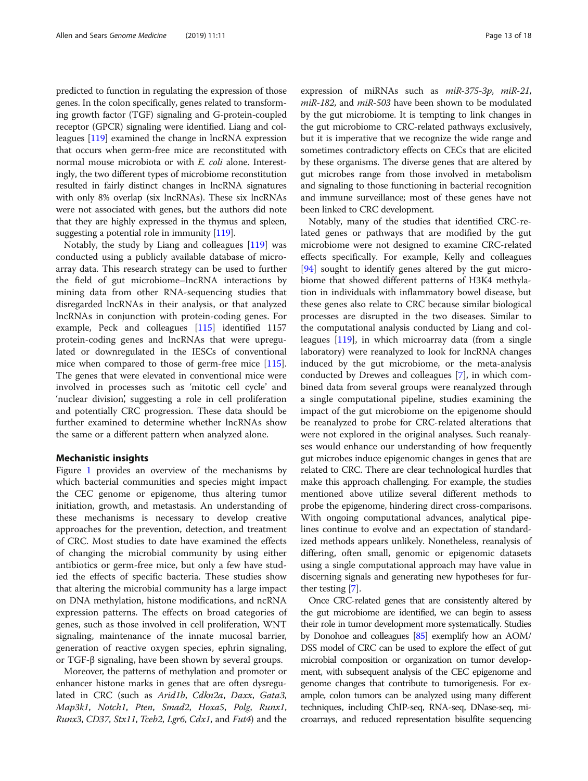predicted to function in regulating the expression of those genes. In the colon specifically, genes related to transforming growth factor (TGF) signaling and G-protein-coupled receptor (GPCR) signaling were identified. Liang and colleagues [[119](#page-17-0)] examined the change in lncRNA expression that occurs when germ-free mice are reconstituted with normal mouse microbiota or with E. coli alone. Interestingly, the two different types of microbiome reconstitution resulted in fairly distinct changes in lncRNA signatures with only 8% overlap (six lncRNAs). These six lncRNAs were not associated with genes, but the authors did note that they are highly expressed in the thymus and spleen, suggesting a potential role in immunity [\[119](#page-17-0)].

Notably, the study by Liang and colleagues [[119](#page-17-0)] was conducted using a publicly available database of microarray data. This research strategy can be used to further the field of gut microbiome–lncRNA interactions by mining data from other RNA-sequencing studies that disregarded lncRNAs in their analysis, or that analyzed lncRNAs in conjunction with protein-coding genes. For example, Peck and colleagues [\[115](#page-17-0)] identified 1157 protein-coding genes and lncRNAs that were upregulated or downregulated in the IESCs of conventional mice when compared to those of germ-free mice [\[115](#page-17-0)]. The genes that were elevated in conventional mice were involved in processes such as 'mitotic cell cycle' and 'nuclear division', suggesting a role in cell proliferation and potentially CRC progression. These data should be further examined to determine whether lncRNAs show the same or a different pattern when analyzed alone.

#### Mechanistic insights

Figure [1](#page-13-0) provides an overview of the mechanisms by which bacterial communities and species might impact the CEC genome or epigenome, thus altering tumor initiation, growth, and metastasis. An understanding of these mechanisms is necessary to develop creative approaches for the prevention, detection, and treatment of CRC. Most studies to date have examined the effects of changing the microbial community by using either antibiotics or germ-free mice, but only a few have studied the effects of specific bacteria. These studies show that altering the microbial community has a large impact on DNA methylation, histone modifications, and ncRNA expression patterns. The effects on broad categories of genes, such as those involved in cell proliferation, WNT signaling, maintenance of the innate mucosal barrier, generation of reactive oxygen species, ephrin signaling, or TGF-β signaling, have been shown by several groups.

Moreover, the patterns of methylation and promoter or enhancer histone marks in genes that are often dysregulated in CRC (such as Arid1b, Cdkn2a, Daxx, Gata3, Map3k1, Notch1, Pten, Smad2, Hoxa5, Polg, Runx1, Runx3, CD37, Stx11, Tceb2, Lgr6, Cdx1, and Fut4) and the expression of miRNAs such as miR-375-3p, miR-21, miR-182, and miR-503 have been shown to be modulated by the gut microbiome. It is tempting to link changes in the gut microbiome to CRC-related pathways exclusively, but it is imperative that we recognize the wide range and sometimes contradictory effects on CECs that are elicited by these organisms. The diverse genes that are altered by gut microbes range from those involved in metabolism and signaling to those functioning in bacterial recognition and immune surveillance; most of these genes have not been linked to CRC development.

Notably, many of the studies that identified CRC-related genes or pathways that are modified by the gut microbiome were not designed to examine CRC-related effects specifically. For example, Kelly and colleagues [[94\]](#page-16-0) sought to identify genes altered by the gut microbiome that showed different patterns of H3K4 methylation in individuals with inflammatory bowel disease, but these genes also relate to CRC because similar biological processes are disrupted in the two diseases. Similar to the computational analysis conducted by Liang and colleagues [[119\]](#page-17-0), in which microarray data (from a single laboratory) were reanalyzed to look for lncRNA changes induced by the gut microbiome, or the meta-analysis conducted by Drewes and colleagues [\[7](#page-15-0)], in which combined data from several groups were reanalyzed through a single computational pipeline, studies examining the impact of the gut microbiome on the epigenome should be reanalyzed to probe for CRC-related alterations that were not explored in the original analyses. Such reanalyses would enhance our understanding of how frequently gut microbes induce epigenomic changes in genes that are related to CRC. There are clear technological hurdles that make this approach challenging. For example, the studies mentioned above utilize several different methods to probe the epigenome, hindering direct cross-comparisons. With ongoing computational advances, analytical pipelines continue to evolve and an expectation of standardized methods appears unlikely. Nonetheless, reanalysis of differing, often small, genomic or epigenomic datasets using a single computational approach may have value in discerning signals and generating new hypotheses for further testing [[7\]](#page-15-0).

Once CRC-related genes that are consistently altered by the gut microbiome are identified, we can begin to assess their role in tumor development more systematically. Studies by Donohoe and colleagues [\[85\]](#page-16-0) exemplify how an AOM/ DSS model of CRC can be used to explore the effect of gut microbial composition or organization on tumor development, with subsequent analysis of the CEC epigenome and genome changes that contribute to tumorigenesis. For example, colon tumors can be analyzed using many different techniques, including ChIP-seq, RNA-seq, DNase-seq, microarrays, and reduced representation bisulfite sequencing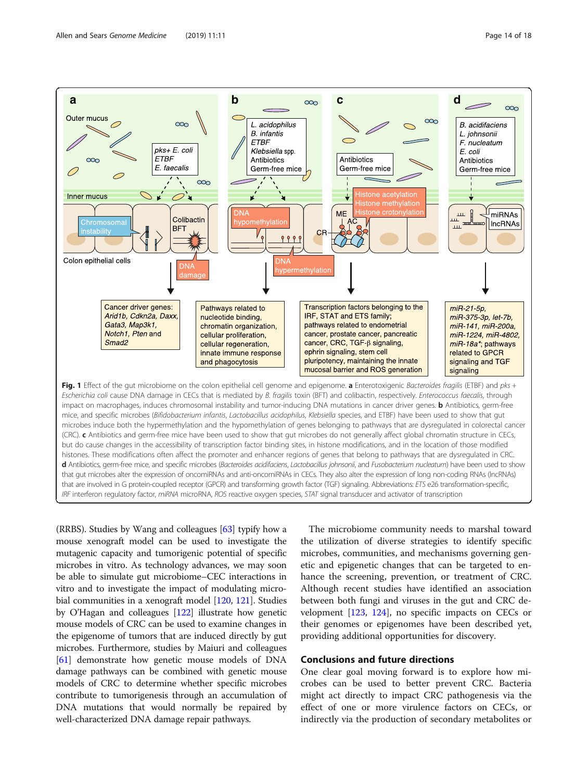

<span id="page-13-0"></span>

(RRBS). Studies by Wang and colleagues [[63](#page-16-0)] typify how a mouse xenograft model can be used to investigate the mutagenic capacity and tumorigenic potential of specific microbes in vitro. As technology advances, we may soon be able to simulate gut microbiome–CEC interactions in vitro and to investigate the impact of modulating microbial communities in a xenograft model [\[120,](#page-17-0) [121](#page-17-0)]. Studies by O'Hagan and colleagues [[122](#page-17-0)] illustrate how genetic mouse models of CRC can be used to examine changes in the epigenome of tumors that are induced directly by gut microbes. Furthermore, studies by Maiuri and colleagues [[61](#page-16-0)] demonstrate how genetic mouse models of DNA damage pathways can be combined with genetic mouse models of CRC to determine whether specific microbes contribute to tumorigenesis through an accumulation of DNA mutations that would normally be repaired by well-characterized DNA damage repair pathways.

The microbiome community needs to marshal toward the utilization of diverse strategies to identify specific microbes, communities, and mechanisms governing genetic and epigenetic changes that can be targeted to enhance the screening, prevention, or treatment of CRC. Although recent studies have identified an association between both fungi and viruses in the gut and CRC development [\[123](#page-17-0), [124\]](#page-17-0), no specific impacts on CECs or their genomes or epigenomes have been described yet, providing additional opportunities for discovery.

#### Conclusions and future directions

One clear goal moving forward is to explore how microbes can be used to better prevent CRC. Bacteria might act directly to impact CRC pathogenesis via the effect of one or more virulence factors on CECs, or indirectly via the production of secondary metabolites or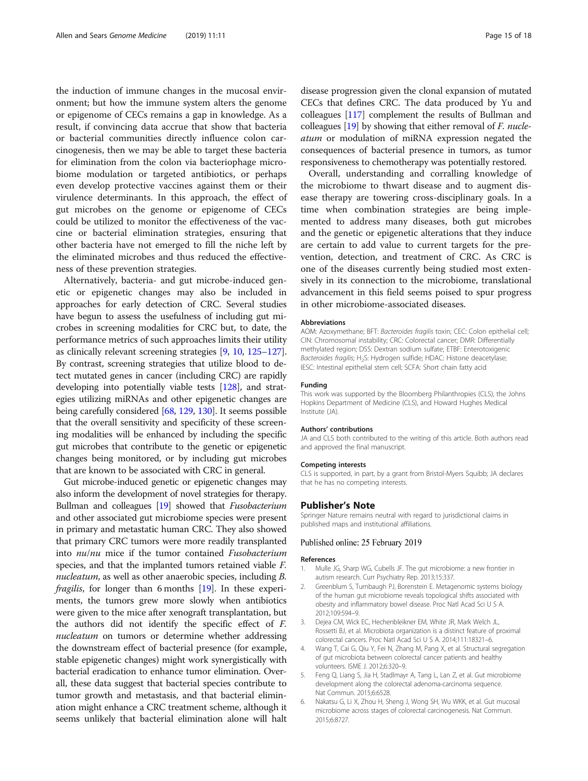<span id="page-14-0"></span>the induction of immune changes in the mucosal environment; but how the immune system alters the genome or epigenome of CECs remains a gap in knowledge. As a result, if convincing data accrue that show that bacteria or bacterial communities directly influence colon carcinogenesis, then we may be able to target these bacteria for elimination from the colon via bacteriophage microbiome modulation or targeted antibiotics, or perhaps even develop protective vaccines against them or their virulence determinants. In this approach, the effect of gut microbes on the genome or epigenome of CECs could be utilized to monitor the effectiveness of the vaccine or bacterial elimination strategies, ensuring that other bacteria have not emerged to fill the niche left by the eliminated microbes and thus reduced the effectiveness of these prevention strategies.

Alternatively, bacteria- and gut microbe-induced genetic or epigenetic changes may also be included in approaches for early detection of CRC. Several studies have begun to assess the usefulness of including gut microbes in screening modalities for CRC but, to date, the performance metrics of such approaches limits their utility as clinically relevant screening strategies [[9,](#page-15-0) [10](#page-15-0), [125](#page-17-0)–[127](#page-17-0)]. By contrast, screening strategies that utilize blood to detect mutated genes in cancer (including CRC) are rapidly developing into potentially viable tests [[128](#page-17-0)], and strategies utilizing miRNAs and other epigenetic changes are being carefully considered [[68](#page-16-0), [129,](#page-17-0) [130\]](#page-17-0). It seems possible that the overall sensitivity and specificity of these screening modalities will be enhanced by including the specific gut microbes that contribute to the genetic or epigenetic changes being monitored, or by including gut microbes that are known to be associated with CRC in general.

Gut microbe-induced genetic or epigenetic changes may also inform the development of novel strategies for therapy. Bullman and colleagues [\[19\]](#page-15-0) showed that Fusobacterium and other associated gut microbiome species were present in primary and metastatic human CRC. They also showed that primary CRC tumors were more readily transplanted into nu/nu mice if the tumor contained Fusobacterium species, and that the implanted tumors retained viable F. nucleatum, as well as other anaerobic species, including B. *fragilis*, for longer than 6 months  $[19]$ . In these experiments, the tumors grew more slowly when antibiotics were given to the mice after xenograft transplantation, but the authors did not identify the specific effect of F. nucleatum on tumors or determine whether addressing the downstream effect of bacterial presence (for example, stable epigenetic changes) might work synergistically with bacterial eradication to enhance tumor elimination. Overall, these data suggest that bacterial species contribute to tumor growth and metastasis, and that bacterial elimination might enhance a CRC treatment scheme, although it seems unlikely that bacterial elimination alone will halt

disease progression given the clonal expansion of mutated CECs that defines CRC. The data produced by Yu and colleagues [\[117\]](#page-17-0) complement the results of Bullman and colleagues  $[19]$  by showing that either removal of F. nucleatum or modulation of miRNA expression negated the consequences of bacterial presence in tumors, as tumor responsiveness to chemotherapy was potentially restored.

Overall, understanding and corralling knowledge of the microbiome to thwart disease and to augment disease therapy are towering cross-disciplinary goals. In a time when combination strategies are being implemented to address many diseases, both gut microbes and the genetic or epigenetic alterations that they induce are certain to add value to current targets for the prevention, detection, and treatment of CRC. As CRC is one of the diseases currently being studied most extensively in its connection to the microbiome, translational advancement in this field seems poised to spur progress in other microbiome-associated diseases.

#### Abbreviations

AOM: Azoxymethane; BFT: Bacteroides fragilis toxin; CEC: Colon epithelial cell; CIN: Chromosomal instability; CRC: Colorectal cancer; DMR: Differentially methylated region; DSS: Dextran sodium sulfate; ETBF: Enterotoxigenic Bacteroides fragilis; H<sub>2</sub>S: Hydrogen sulfide; HDAC: Histone deacetylase; IESC: Intestinal epithelial stem cell; SCFA: Short chain fatty acid

#### Funding

This work was supported by the Bloomberg Philanthropies (CLS), the Johns Hopkins Department of Medicine (CLS), and Howard Hughes Medical Institute (JA).

#### Authors' contributions

JA and CLS both contributed to the writing of this article. Both authors read and approved the final manuscript.

#### Competing interests

CLS is supported, in part, by a grant from Bristol-Myers Squibb; JA declares that he has no competing interests.

#### Publisher's Note

Springer Nature remains neutral with regard to jurisdictional claims in published maps and institutional affiliations.

#### Published online: 25 February 2019

#### References

- 1. Mulle JG, Sharp WG, Cubells JF. The gut microbiome: a new frontier in autism research. Curr Psychiatry Rep. 2013;15:337.
- 2. Greenblum S, Turnbaugh PJ, Borenstein E. Metagenomic systems biology of the human gut microbiome reveals topological shifts associated with obesity and inflammatory bowel disease. Proc Natl Acad Sci U S A. 2012;109:594–9.
- 3. Dejea CM, Wick EC, Hechenbleikner EM, White JR, Mark Welch JL, Rossetti BJ, et al. Microbiota organization is a distinct feature of proximal colorectal cancers. Proc Natl Acad Sci U S A. 2014;111:18321–6.
- 4. Wang T, Cai G, Qiu Y, Fei N, Zhang M, Pang X, et al. Structural segregation of gut microbiota between colorectal cancer patients and healthy volunteers. ISME J. 2012;6:320–9.
- 5. Feng Q, Liang S, Jia H, Stadlmayr A, Tang L, Lan Z, et al. Gut microbiome development along the colorectal adenoma-carcinoma sequence. Nat Commun. 2015;6:6528.
- 6. Nakatsu G, Li X, Zhou H, Sheng J, Wong SH, Wu WKK, et al. Gut mucosal microbiome across stages of colorectal carcinogenesis. Nat Commun. 2015;6:8727.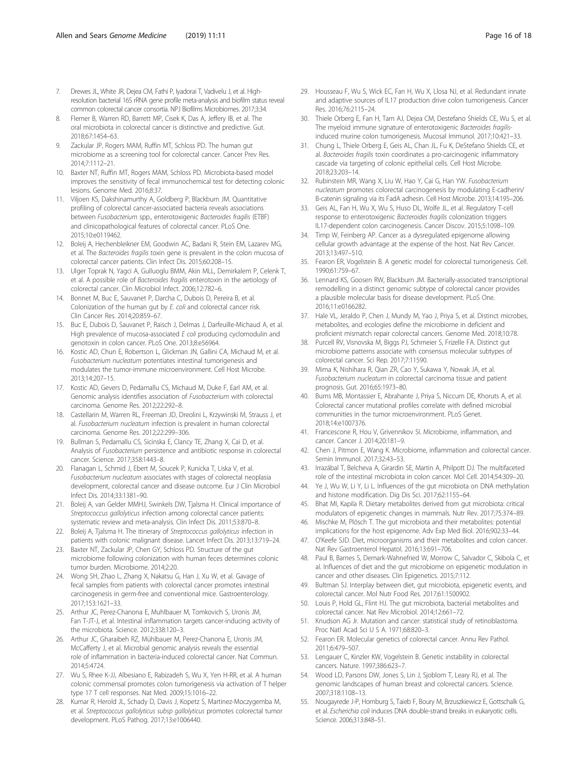- <span id="page-15-0"></span>7. Drewes JL, White JR, Dejea CM, Fathi P, Iyadorai T, Vadivelu J, et al. Highresolution bacterial 16S rRNA gene profile meta-analysis and biofilm status reveal common colorectal cancer consortia. NPJ Biofilms Microbiomes. 2017;3:34.
- Flemer B, Warren RD, Barrett MP, Cisek K, Das A, Jeffery IB, et al. The oral microbiota in colorectal cancer is distinctive and predictive. Gut. 2018;67:1454–63.
- Zackular JP, Rogers MAM, Ruffin MT, Schloss PD. The human gut microbiome as a screening tool for colorectal cancer. Cancer Prev Res. 2014;7:1112–21.
- 10. Baxter NT, Ruffin MT, Rogers MAM, Schloss PD. Microbiota-based model improves the sensitivity of fecal immunochemical test for detecting colonic lesions. Genome Med. 2016;8:37.
- 11. Viljoen KS, Dakshinamurthy A, Goldberg P, Blackburn JM. Quantitative profiling of colorectal cancer-associated bacteria reveals associations between Fusobacterium spp., enterotoxigenic Bacteroides fragilis (ETBF) and clinicopathological features of colorectal cancer. PLoS One. 2015;10:e0119462.
- 12. Boleij A, Hechenbleikner EM, Goodwin AC, Badani R, Stein EM, Lazarev MG, et al. The Bacteroides fragilis toxin gene is prevalent in the colon mucosa of colorectal cancer patients. Clin Infect Dis. 2015;60:208–15.
- 13. Ulger Toprak N, Yagci A, Gulluoglu BMM, Akin MLL, Demirkalem P, Celenk T, et al. A possible role of Bacteroides fragilis enterotoxin in the aetiology of colorectal cancer. Clin Microbiol Infect. 2006;12:782–6.
- 14. Bonnet M, Buc E, Sauvanet P, Darcha C, Dubois D, Pereira B, et al. Colonization of the human gut by E. coli and colorectal cancer risk. Clin Cancer Res. 2014;20:859–67.
- 15. Buc E, Dubois D, Sauvanet P, Raisch J, Delmas J, Darfeuille-Michaud A, et al. High prevalence of mucosa-associated E coli producing cyclomodulin and genotoxin in colon cancer. PLoS One. 2013;8:e56964.
- 16. Kostic AD, Chun E, Robertson L, Glickman JN, Gallini CA, Michaud M, et al. Fusobacterium nucleatum potentiates intestinal tumorigenesis and modulates the tumor-immune microenvironment. Cell Host Microbe. 2013;14:207–15.
- 17. Kostic AD, Gevers D, Pedamallu CS, Michaud M, Duke F, Earl AM, et al. Genomic analysis identifies association of Fusobacterium with colorectal carcinoma. Genome Res. 2012;22:292–8.
- 18. Castellarin M, Warren RL, Freeman JD, Dreolini L, Krzywinski M, Strauss J, et al. Fusobacterium nucleatum infection is prevalent in human colorectal carcinoma. Genome Res. 2012;22:299–306.
- 19. Bullman S, Pedamallu CS, Sicinska E, Clancy TE, Zhang X, Cai D, et al. Analysis of Fusobacterium persistence and antibiotic response in colorectal cancer. Science. 2017;358:1443–8.
- 20. Flanagan L, Schmid J, Ebert M, Soucek P, Kunicka T, Liska V, et al. Fusobacterium nucleatum associates with stages of colorectal neoplasia development, colorectal cancer and disease outcome. Eur J Clin Microbiol Infect Dis. 2014;33:1381–90.
- 21. Boleij A, van Gelder MMHJ, Swinkels DW, Tjalsma H. Clinical importance of Streptococcus gallolyticus infection among colorectal cancer patients: systematic review and meta-analysis. Clin Infect Dis. 2011;53:870–8.
- 22. Boleij A, Tjalsma H. The itinerary of Streptococcus gallolyticus infection in patients with colonic malignant disease. Lancet Infect Dis. 2013;13:719–24.
- 23. Baxter NT, Zackular JP, Chen GY, Schloss PD. Structure of the gut microbiome following colonization with human feces determines colonic tumor burden. Microbiome. 2014;2:20.
- 24. Wong SH, Zhao L, Zhang X, Nakatsu G, Han J, Xu W, et al. Gavage of fecal samples from patients with colorectal cancer promotes intestinal carcinogenesis in germ-free and conventional mice. Gastroenterology. 2017;153:1621–33.
- 25. Arthur JC, Perez-Chanona E, Muhlbauer M, Tomkovich S, Uronis JM, Fan T-JT-J, et al. Intestinal inflammation targets cancer-inducing activity of the microbiota. Science. 2012;338:120–3.
- 26. Arthur JC, Gharaibeh RZ, Mühlbauer M, Perez-Chanona E, Uronis JM, McCafferty J, et al. Microbial genomic analysis reveals the essential role of inflammation in bacteria-induced colorectal cancer. Nat Commun. 2014;5:4724.
- 27. Wu S, Rhee K-JJ, Albesiano E, Rabizadeh S, Wu X, Yen H-RR, et al. A human colonic commensal promotes colon tumorigenesis via activation of T helper type 17 T cell responses. Nat Med. 2009;15:1016–22.
- 28. Kumar R, Herold JL, Schady D, Davis J, Kopetz S, Martinez-Moczygemba M, et al. Streptococcus gallolyticus subsp gallolyticus promotes colorectal tumor development. PLoS Pathog. 2017;13:e1006440.
- 29. Housseau F, Wu S, Wick EC, Fan H, Wu X, Llosa NJ, et al. Redundant innate and adaptive sources of IL17 production drive colon tumorigenesis. Cancer Res. 2016;76:2115–24.
- 30. Thiele Orberg E, Fan H, Tam AJ, Dejea CM, Destefano Shields CE, Wu S, et al. The myeloid immune signature of enterotoxigenic Bacteroides fragilisinduced murine colon tumorigenesis. Mucosal Immunol. 2017;10:421–33.
- 31. Chung L, Thiele Orberg E, Geis AL, Chan JL, Fu K, DeStefano Shields CE, et al. Bacteroides fragilis toxin coordinates a pro-carcinogenic inflammatory cascade via targeting of colonic epithelial cells. Cell Host Microbe. 2018;23:203–14.
- 32. Rubinstein MR, Wang X, Liu W, Hao Y, Cai G, Han YW. Fusobacterium nucleatum promotes colorectal carcinogenesis by modulating E-cadherin/ B-catenin signaling via its FadA adhesin. Cell Host Microbe. 2013;14:195–206.
- 33. Geis AL, Fan H, Wu X, Wu S, Huso DL, Wolfe JL, et al. Regulatory T-cell response to enterotoxigenic Bacteroides fragilis colonization triggers IL17-dependent colon carcinogenesis. Cancer Discov. 2015;5:1098–109.
- 34. Timp W, Feinberg AP. Cancer as a dysregulated epigenome allowing cellular growth advantage at the expense of the host. Nat Rev Cancer. 2013;13:497–510.
- 35. Fearon ER, Vogelstein B. A genetic model for colorectal tumorigenesis. Cell. 1990;61:759–67.
- 36. Lennard KS, Goosen RW, Blackburn JM. Bacterially-associated transcriptional remodelling in a distinct genomic subtype of colorectal cancer provides a plausible molecular basis for disease development. PLoS One. 2016;11:e0166282.
- 37. Hale VL, Jeraldo P, Chen J, Mundy M, Yao J, Priya S, et al. Distinct microbes, metabolites, and ecologies define the microbiome in deficient and proficient mismatch repair colorectal cancers. Genome Med. 2018;10:78.
- 38. Purcell RV, Visnovska M, Biggs PJ, Schmeier S, Frizelle FA. Distinct gut microbiome patterns associate with consensus molecular subtypes of colorectal cancer. Sci Rep. 2017;7:11590.
- 39. Mima K, Nishihara R, Qian ZR, Cao Y, Sukawa Y, Nowak JA, et al. Fusobacterium nucleatum in colorectal carcinoma tissue and patient prognosis. Gut. 2016;65:1973–80.
- 40. Burns MB, Montassier E, Abrahante J, Priya S, Niccum DE, Khoruts A, et al. Colorectal cancer mutational profiles correlate with defined microbial communities in the tumor microenvironment. PLoS Genet. 2018;14:e1007376.
- 41. Francescone R, Hou V, Grivennikov SI. Microbiome, inflammation, and cancer. Cancer J. 2014;20:181–9.
- 42. Chen J, Pitmon E, Wang K. Microbiome, inflammation and colorectal cancer. Semin Immunol. 2017;32:43–53.
- 43. Irrazábal T, Belcheva A, Girardin SE, Martin A, Philpott DJ. The multifaceted role of the intestinal microbiota in colon cancer. Mol Cell. 2014;54:309–20.
- 44. Ye J, Wu W, Li Y, Li L. Influences of the gut microbiota on DNA methylation and histone modification. Dig Dis Sci. 2017;62:1155–64.
- 45. Bhat MI, Kapila R. Dietary metabolites derived from gut microbiota: critical modulators of epigenetic changes in mammals. Nutr Rev. 2017;75:374–89.
- 46. Mischke M, Plösch T. The gut microbiota and their metabolites: potential implications for the host epigenome. Adv Exp Med Biol. 2016;902:33–44.
- 47. O'Keefe SJD. Diet, microorganisms and their metabolites and colon cancer. Nat Rev Gastroenterol Hepatol. 2016;13:691–706.
- 48. Paul B, Barnes S, Demark-Wahnefried W, Morrow C, Salvador C, Skibola C, et al. Influences of diet and the gut microbiome on epigenetic modulation in cancer and other diseases. Clin Epigenetics. 2015;7:112.
- 49. Bultman SJ. Interplay between diet, gut microbiota, epigenetic events, and colorectal cancer. Mol Nutr Food Res. 2017;61:1500902.
- 50. Louis P, Hold GL, Flint HJ. The gut microbiota, bacterial metabolites and colorectal cancer. Nat Rev Microbiol. 2014;12:661–72.
- 51. Knudson AG Jr. Mutation and cancer: statistical study of retinoblastoma. Proc Natl Acad Sci U S A. 1971;68:820–3.
- 52. Fearon ER. Molecular genetics of colorectal cancer. Annu Rev Pathol. 2011;6:479–507.
- 53. Lengauer C, Kinzler KW, Vogelstein B. Genetic instability in colorectal cancers. Nature. 1997;386:623–7.
- 54. Wood LD, Parsons DW, Jones S, Lin J, Sjoblom T, Leary RJ, et al. The genomic landscapes of human breast and colorectal cancers. Science. 2007;318:1108–13.
- 55. Nougayrede J-P, Homburg S, Taieb F, Boury M, Brzuszkiewicz E, Gottschalk G, et al. Escherichia coli induces DNA double-strand breaks in eukaryotic cells. Science. 2006;313:848–51.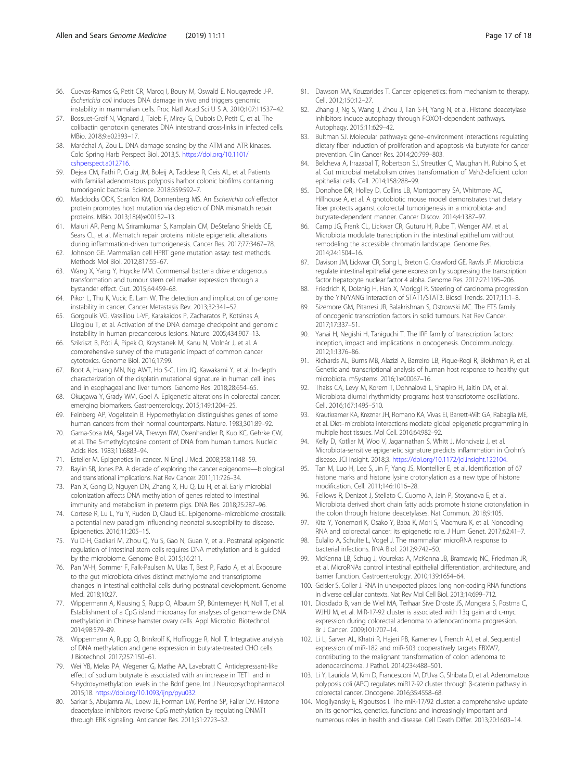- <span id="page-16-0"></span>56. Cuevas-Ramos G, Petit CR, Marcq I, Boury M, Oswald E, Nougayrede J-P. Escherichia coli induces DNA damage in vivo and triggers genomic instability in mammalian cells. Proc Natl Acad Sci U S A. 2010;107:11537–42.
- 57. Bossuet-Greif N, Vignard J, Taieb F, Mirey G, Dubois D, Petit C, et al. The colibactin genotoxin generates DNA interstrand cross-links in infected cells. MBio. 2018;9:e02393–17.
- 58. Maréchal A, Zou L. DNA damage sensing by the ATM and ATR kinases. Cold Spring Harb Perspect Biol. 2013;5. [https://doi.org/10.1101/](https://doi.org/10.1101/cshperspect.a012716) [cshperspect.a012716.](https://doi.org/10.1101/cshperspect.a012716)
- 59. Dejea CM, Fathi P, Craig JM, Boleij A, Taddese R, Geis AL, et al. Patients with familial adenomatous polyposis harbor colonic biofilms containing tumorigenic bacteria. Science. 2018;359:592–7.
- 60. Maddocks ODK, Scanlon KM, Donnenberg MS. An Escherichia coli effector protein promotes host mutation via depletion of DNA mismatch repair proteins. MBio. 2013;18(4):e00152–13.
- 61. Maiuri AR, Peng M, Sriramkumar S, Kamplain CM, DeStefano Shields CE, Sears CL, et al. Mismatch repair proteins initiate epigenetic alterations during inflammation-driven tumorigenesis. Cancer Res. 2017;77:3467–78.
- 62. Johnson GE. Mammalian cell HPRT gene mutation assay: test methods. Methods Mol Biol. 2012;817:55–67.
- 63. Wang X, Yang Y, Huycke MM. Commensal bacteria drive endogenous transformation and tumour stem cell marker expression through a bystander effect. Gut. 2015;64:459–68.
- 64. Pikor L, Thu K, Vucic E, Lam W. The detection and implication of genome instability in cancer. Cancer Metastasis Rev. 2013;32:341–52.
- 65. Gorgoulis VG, Vassiliou L-VF, Karakaidos P, Zacharatos P, Kotsinas A, Liloglou T, et al. Activation of the DNA damage checkpoint and genomic instability in human precancerous lesions. Nature. 2005;434:907–13.
- 66. Szikriszt B, Póti Á, Pipek O, Krzystanek M, Kanu N, Molnár J, et al. A comprehensive survey of the mutagenic impact of common cancer cytotoxics. Genome Biol. 2016;17:99.
- 67. Boot A, Huang MN, Ng AWT, Ho S-C, Lim JQ, Kawakami Y, et al. In-depth characterization of the cisplatin mutational signature in human cell lines and in esophageal and liver tumors. Genome Res. 2018;28:654–65.
- 68. Okugawa Y, Grady WM, Goel A. Epigenetic alterations in colorectal cancer: emerging biomarkers. Gastroenterology. 2015;149:1204–25.
- 69. Feinberg AP, Vogelstein B. Hypomethylation distinguishes genes of some human cancers from their normal counterparts. Nature. 1983;301:89–92.
- 70. Gama-Sosa MA, Slagel VA, Trewyn RW, Oxenhandler R, Kuo KC, Gehrke CW, et al. The 5-methylcytosine content of DNA from human tumors. Nucleic Acids Res. 1983;11:6883–94.
- 71. Esteller M. Epigenetics in cancer. N Engl J Med. 2008;358:1148–59.
- 72. Baylin SB, Jones PA. A decade of exploring the cancer epigenome—biological and translational implications. Nat Rev Cancer. 2011;11:726–34.
- 73. Pan X, Gong D, Nguyen DN, Zhang X, Hu Q, Lu H, et al. Early microbial colonization affects DNA methylation of genes related to intestinal immunity and metabolism in preterm pigs. DNA Res. 2018;25:287–96.
- 74. Cortese R, Lu L, Yu Y, Ruden D, Claud EC. Epigenome–microbiome crosstalk: a potential new paradigm influencing neonatal susceptibility to disease. Epigenetics. 2016;11:205–15.
- 75. Yu D-H, Gadkari M, Zhou Q, Yu S, Gao N, Guan Y, et al. Postnatal epigenetic regulation of intestinal stem cells requires DNA methylation and is guided by the microbiome. Genome Biol. 2015;16:211.
- 76. Pan W-H, Sommer F, Falk-Paulsen M, Ulas T, Best P, Fazio A, et al. Exposure to the gut microbiota drives distinct methylome and transcriptome changes in intestinal epithelial cells during postnatal development. Genome Med. 2018;10:27.
- 77. Wippermann A, Klausing S, Rupp O, Albaum SP, Büntemeyer H, Noll T, et al. Establishment of a CpG island microarray for analyses of genome-wide DNA methylation in Chinese hamster ovary cells. Appl Microbiol Biotechnol. 2014;98:579–89.
- 78. Wippermann A, Rupp O, Brinkrolf K, Hoffrogge R, Noll T. Integrative analysis of DNA methylation and gene expression in butyrate-treated CHO cells. J Biotechnol. 2017;257:150–61.
- 79. Wei YB, Melas PA, Wegener G, Mathe AA, Lavebratt C. Antidepressant-like effect of sodium butyrate is associated with an increase in TET1 and in 5-hydroxymethylation levels in the Bdnf gene. Int J Neuropsychopharmacol. 2015;18. [https://doi.org/10.1093/ijnp/pyu032.](https://doi.org/10.1093/ijnp/pyu032)
- 80. Sarkar S, Abujamra AL, Loew JE, Forman LW, Perrine SP, Faller DV. Histone deacetylase inhibitors reverse CpG methylation by regulating DNMT1 through ERK signaling. Anticancer Res. 2011;31:2723–32.
- 81. Dawson MA, Kouzarides T. Cancer epigenetics: from mechanism to therapy. Cell. 2012;150:12–27.
- 82. Zhang J, Ng S, Wang J, Zhou J, Tan S-H, Yang N, et al. Histone deacetylase inhibitors induce autophagy through FOXO1-dependent pathways. Autophagy. 2015;11:629–42.
- 83. Bultman SJ. Molecular pathways: gene–environment interactions regulating dietary fiber induction of proliferation and apoptosis via butyrate for cancer prevention. Clin Cancer Res. 2014;20:799–803.
- 84. Belcheva A, Irrazabal T, Robertson SJ, Streutker C, Maughan H, Rubino S, et al. Gut microbial metabolism drives transformation of Msh2-deficient colon epithelial cells. Cell. 2014;158:288–99.
- 85. Donohoe DR, Holley D, Collins LB, Montgomery SA, Whitmore AC, Hillhouse A, et al. A gnotobiotic mouse model demonstrates that dietary fiber protects against colorectal tumorigenesis in a microbiota- and butyrate-dependent manner. Cancer Discov. 2014;4:1387–97.
- 86. Camp JG, Frank CL, Lickwar CR, Guturu H, Rube T, Wenger AM, et al. Microbiota modulate transcription in the intestinal epithelium without remodeling the accessible chromatin landscape. Genome Res. 2014;24:1504–16.
- 87. Davison JM, Lickwar CR, Song L, Breton G, Crawford GE, Rawls JF. Microbiota regulate intestinal epithelial gene expression by suppressing the transcription factor hepatocyte nuclear factor 4 alpha. Genome Res. 2017;27:1195–206.
- 88. Friedrich K, Dolznig H, Han X, Moriggl R. Steering of carcinoma progression by the YIN/YANG interaction of STAT1/STAT3. Biosci Trends. 2017;11:1–8.
- 89. Sizemore GM, Pitarresi JR, Balakrishnan S, Ostrowski MC. The ETS family of oncogenic transcription factors in solid tumours. Nat Rev Cancer. 2017;17:337–51.
- 90. Yanai H, Negishi H, Taniguchi T. The IRF family of transcription factors: inception, impact and implications in oncogenesis. Oncoimmunology. 2012;1:1376–86.
- 91. Richards AL, Burns MB, Alazizi A, Barreiro LB, Pique-Regi R, Blekhman R, et al. Genetic and transcriptional analysis of human host response to healthy gut microbiota. mSystems. 2016;1:e00067–16.
- 92. Thaiss CA, Levy M, Korem T, Dohnalová L, Shapiro H, Jaitin DA, et al. Microbiota diurnal rhythmicity programs host transcriptome oscillations. Cell. 2016;167:1495–510.
- 93. Krautkramer KA, Kreznar JH, Romano KA, Vivas EI, Barrett-Wilt GA, Rabaglia ME, et al. Diet–microbiota interactions mediate global epigenetic programming in multiple host tissues. Mol Cell. 2016;64:982–92.
- 94. Kelly D, Kotliar M, Woo V, Jagannathan S, Whitt J, Moncivaiz J, et al. Microbiota-sensitive epigenetic signature predicts inflammation in Crohn's disease. JCI Insight. 2018;3. <https://doi.org/10.1172/jci.insight.122104>.
- 95. Tan M, Luo H, Lee S, Jin F, Yang JS, Montellier E, et al. Identification of 67 histone marks and histone lysine crotonylation as a new type of histone modification. Cell. 2011;146:1016–28.
- 96. Fellows R, Denizot J, Stellato C, Cuomo A, Jain P, Stoyanova E, et al. Microbiota derived short chain fatty acids promote histone crotonylation in the colon through histone deacetylases. Nat Commun. 2018;9:105.
- 97. Kita Y, Yonemori K, Osako Y, Baba K, Mori S, Maemura K, et al. Noncoding RNA and colorectal cancer: its epigenetic role. J Hum Genet. 2017;62:41–7.
- 98. Eulalio A, Schulte L, Vogel J. The mammalian microRNA response to bacterial infections. RNA Biol. 2012;9:742–50.
- 99. McKenna LB, Schug J, Vourekas A, McKenna JB, Bramswig NC, Friedman JR, et al. MicroRNAs control intestinal epithelial differentiation, architecture, and barrier function. Gastroenterology. 2010;139:1654–64.
- 100. Geisler S, Coller J. RNA in unexpected places: long non-coding RNA functions in diverse cellular contexts. Nat Rev Mol Cell Biol. 2013;14:699–712.
- 101. Diosdado B, van de Wiel MA, Terhaar Sive Droste JS, Mongera S, Postma C, WJHJ M, et al. MiR-17-92 cluster is associated with 13q gain and c-myc expression during colorectal adenoma to adenocarcinoma progression. Br J Cancer. 2009;101:707–14.
- 102. Li L, Sarver AL, Khatri R, Hajeri PB, Kamenev I, French AJ, et al. Sequential expression of miR-182 and miR-503 cooperatively targets FBXW7, contributing to the malignant transformation of colon adenoma to adenocarcinoma. J Pathol. 2014;234:488–501.
- 103. Li Y, Lauriola M, Kim D, Francesconi M, D'Uva G, Shibata D, et al. Adenomatous polyposis coli (APC) regulates miR17-92 cluster through β-catenin pathway in colorectal cancer. Oncogene. 2016;35:4558–68.
- 104. Mogilyansky E, Rigoutsos I. The miR-17/92 cluster: a comprehensive update on its genomics, genetics, functions and increasingly important and numerous roles in health and disease. Cell Death Differ. 2013;20:1603–14.